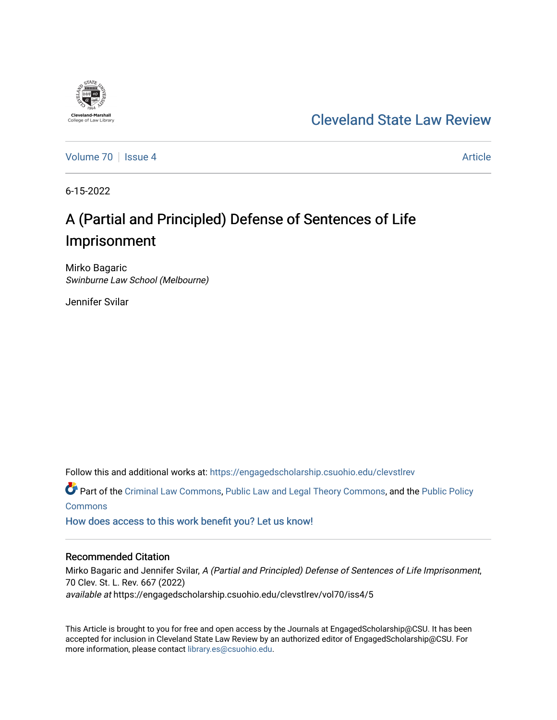

[Volume 70](https://engagedscholarship.csuohio.edu/clevstlrev/vol70) | [Issue 4](https://engagedscholarship.csuohio.edu/clevstlrev/vol70/iss4) Article

6-15-2022

**Cleveland-Marshall**<br>College of Law Libra

# A (Partial and Principled) Defense of Sentences of Life Imprisonment

Mirko Bagaric Swinburne Law School (Melbourne)

Jennifer Svilar

Follow this and additional works at: [https://engagedscholarship.csuohio.edu/clevstlrev](https://engagedscholarship.csuohio.edu/clevstlrev?utm_source=engagedscholarship.csuohio.edu%2Fclevstlrev%2Fvol70%2Fiss4%2F5&utm_medium=PDF&utm_campaign=PDFCoverPages)

Part of the [Criminal Law Commons,](https://network.bepress.com/hgg/discipline/912?utm_source=engagedscholarship.csuohio.edu%2Fclevstlrev%2Fvol70%2Fiss4%2F5&utm_medium=PDF&utm_campaign=PDFCoverPages) [Public Law and Legal Theory Commons,](https://network.bepress.com/hgg/discipline/871?utm_source=engagedscholarship.csuohio.edu%2Fclevstlrev%2Fvol70%2Fiss4%2F5&utm_medium=PDF&utm_campaign=PDFCoverPages) and the [Public Policy](https://network.bepress.com/hgg/discipline/400?utm_source=engagedscholarship.csuohio.edu%2Fclevstlrev%2Fvol70%2Fiss4%2F5&utm_medium=PDF&utm_campaign=PDFCoverPages)  **[Commons](https://network.bepress.com/hgg/discipline/400?utm_source=engagedscholarship.csuohio.edu%2Fclevstlrev%2Fvol70%2Fiss4%2F5&utm_medium=PDF&utm_campaign=PDFCoverPages)** 

[How does access to this work benefit you? Let us know!](http://library.csuohio.edu/engaged/)

## Recommended Citation

Mirko Bagaric and Jennifer Svilar, A (Partial and Principled) Defense of Sentences of Life Imprisonment, 70 Clev. St. L. Rev. 667 (2022) available at https://engagedscholarship.csuohio.edu/clevstlrev/vol70/iss4/5

This Article is brought to you for free and open access by the Journals at EngagedScholarship@CSU. It has been accepted for inclusion in Cleveland State Law Review by an authorized editor of EngagedScholarship@CSU. For more information, please contact [library.es@csuohio.edu](mailto:library.es@csuohio.edu).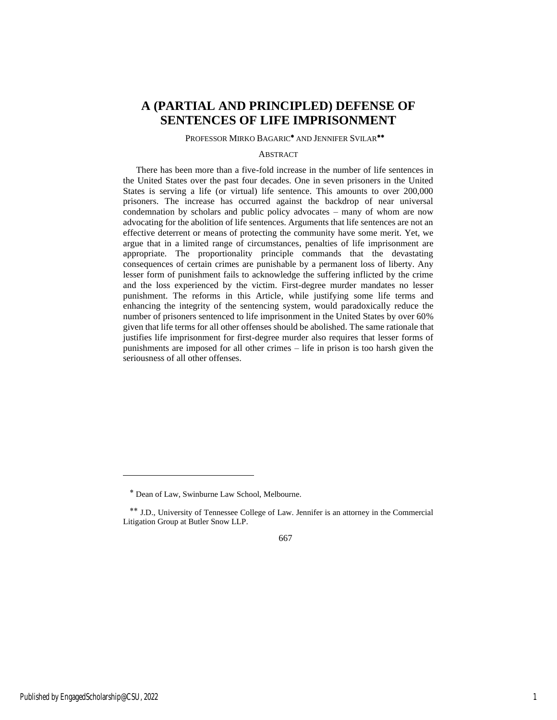## **A (PARTIAL AND PRINCIPLED) DEFENSE OF SENTENCES OF LIFE IMPRISONMENT**

#### PROFESSOR MIRKO BAGARIC<sup>\*</sup> AND JENNIFER SVILAR<sup>\*\*</sup>

## **ABSTRACT**

There has been more than a five-fold increase in the number of life sentences in the United States over the past four decades. One in seven prisoners in the United States is serving a life (or virtual) life sentence. This amounts to over 200,000 prisoners. The increase has occurred against the backdrop of near universal condemnation by scholars and public policy advocates – many of whom are now advocating for the abolition of life sentences. Arguments that life sentences are not an effective deterrent or means of protecting the community have some merit. Yet, we argue that in a limited range of circumstances, penalties of life imprisonment are appropriate. The proportionality principle commands that the devastating consequences of certain crimes are punishable by a permanent loss of liberty. Any lesser form of punishment fails to acknowledge the suffering inflicted by the crime and the loss experienced by the victim. First-degree murder mandates no lesser punishment. The reforms in this Article, while justifying some life terms and enhancing the integrity of the sentencing system, would paradoxically reduce the number of prisoners sentenced to life imprisonment in the United States by over 60% given that life terms for all other offenses should be abolished. The same rationale that justifies life imprisonment for first-degree murder also requires that lesser forms of punishments are imposed for all other crimes – life in prison is too harsh given the seriousness of all other offenses.

Dean of Law, Swinburne Law School, Melbourne.

<sup>\*\*</sup> J.D., University of Tennessee College of Law. Jennifer is an attorney in the Commercial Litigation Group at Butler Snow LLP.

<sup>667</sup>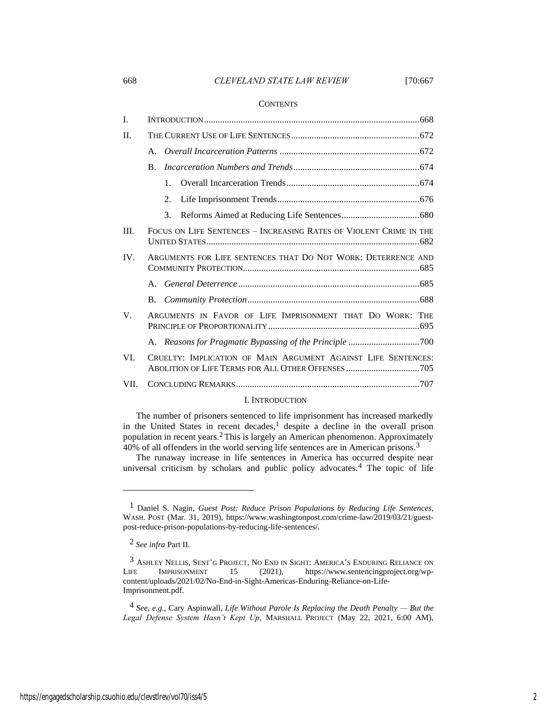## 668 *CLEVELAND STATE LAW REVIEW* [70:667

#### **CONTENTS**

| I.          |                                                                    |
|-------------|--------------------------------------------------------------------|
| II.         |                                                                    |
|             |                                                                    |
|             | $\bf{B}$ .                                                         |
|             | $\mathbf{1}$ .                                                     |
|             | 2.                                                                 |
|             | 3.                                                                 |
| III.        | FOCUS ON LIFE SENTENCES - INCREASING RATES OF VIOLENT CRIME IN THE |
| IV.         | ARGUMENTS FOR LIFE SENTENCES THAT DO NOT WORK: DETERRENCE AND      |
|             |                                                                    |
|             | B.                                                                 |
| $V_{\cdot}$ | ARGUMENTS IN FAVOR OF LIFE IMPRISONMENT THAT DO WORK: THE          |
|             |                                                                    |
| VI.         | CRUELTY: IMPLICATION OF MAIN ARGUMENT AGAINST LIFE SENTENCES:      |
| VII.        |                                                                    |

## <span id="page-2-0"></span>I. INTRODUCTION

The number of prisoners sentenced to life imprisonment has increased markedly in the United States in recent decades,<sup>1</sup> despite a decline in the overall prison population in recent years.2This is largely an American phenomenon. Approximately 40% of all offenders in the world serving life sentences are in American prisons.3

The runaway increase in life sentences in America has occurred despite near universal criticism by scholars and public policy advocates.4 The topic of life

<sup>1</sup> Daniel S. Nagin, *Guest Post: Reduce Prison Populations by Reducing Life Sentences*, WASH. POST (Mar. 31, 2019), https://www.washingtonpost.com/crime-law/2019/03/21/guestpost-reduce-prison-populations-by-reducing-life-sentences/.

<sup>2</sup> *See infra* Part II.

<sup>3</sup> ASHLEY NELLIS, SENT'G PROJECT, N<sup>O</sup> END IN SIGHT: AMERICA'S ENDURING RELIANCE ON LIFE IMPRISONMENT 15 (2021), https://www.sentencingproject.org/wpcontent/uploads/2021/02/No-End-in-Sight-Americas-Enduring-Reliance-on-Life-Imprisonment.pdf.

<sup>4</sup> *See, e.g.*, Cary Aspinwall, *Life Without Parole Is Replacing the Death Penalty — But the Legal Defense System Hasn't Kept Up*, MARSHALL PROJECT (May 22, 2021, 6:00 AM),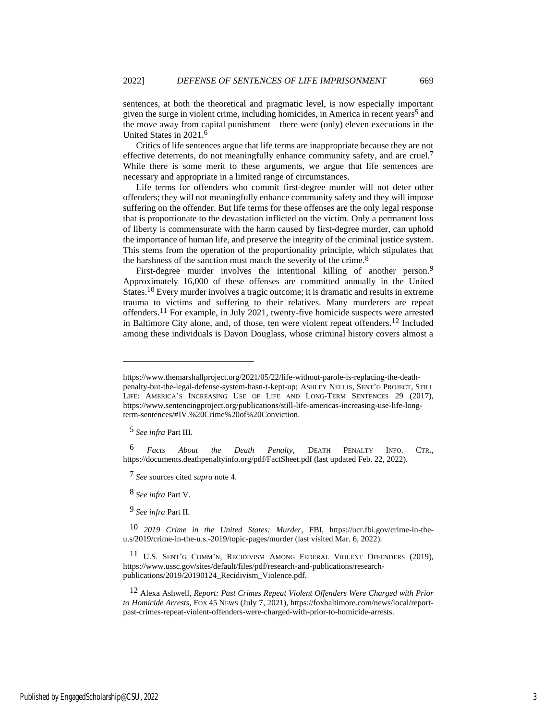sentences, at both the theoretical and pragmatic level, is now especially important given the surge in violent crime, including homicides, in America in recent years<sup>5</sup> and the move away from capital punishment—there were (only) eleven executions in the United States in 2021.6

<span id="page-3-0"></span>Critics of life sentences argue that life terms are inappropriate because they are not effective deterrents, do not meaningfully enhance community safety, and are cruel.<sup>7</sup> While there is some merit to these arguments, we argue that life sentences are necessary and appropriate in a limited range of circumstances.

Life terms for offenders who commit first-degree murder will not deter other offenders; they will not meaningfully enhance community safety and they will impose suffering on the offender. But life terms for these offenses are the only legal response that is proportionate to the devastation inflicted on the victim. Only a permanent loss of liberty is commensurate with the harm caused by first-degree murder, can uphold the importance of human life, and preserve the integrity of the criminal justice system. This stems from the operation of the proportionality principle, which stipulates that the harshness of the sanction must match the severity of the crime.<sup>8</sup>

First-degree murder involves the intentional killing of another person.<sup>9</sup> Approximately 16,000 of these offenses are committed annually in the United States.10 Every murder involves a tragic outcome; it is dramatic and results in extreme trauma to victims and suffering to their relatives. Many murderers are repeat offenders.11 For example, in July 2021, twenty-five homicide suspects were arrested in Baltimore City alone, and, of those, ten were violent repeat offenders.12 Included among these individuals is Davon Douglass, whose criminal history covers almost a

5 *See infra* Part III.

6 *Facts About the Death Penalty*, DEATH PENALTY INFO. CTR., https://documents.deathpenaltyinfo.org/pdf/FactSheet.pdf (last updated Feb. 22, 2022).

7 *See* sources cited *supra* not[e 4.](#page-2-0)

8 *See infra* Part V.

9 *See infra* Part II.

10 *2019 Crime in the United States: Murder*, FBI, https://ucr.fbi.gov/crime-in-theu.s/2019/crime-in-the-u.s.-2019/topic-pages/murder (last visited Mar. 6, 2022).

<sup>11</sup> U.S. SENT'G COMM'N, RECIDIVISM AMONG FEDERAL VIOLENT OFFENDERS (2019), https://www.ussc.gov/sites/default/files/pdf/research-and-publications/researchpublications/2019/20190124\_Recidivism\_Violence.pdf.

12 Alexa Ashwell, *Report: Past Crimes Repeat Violent Offenders Were Charged with Prior to Homicide Arrests*, FOX 45 NEWS (July 7, 2021), https://foxbaltimore.com/news/local/reportpast-crimes-repeat-violent-offenders-were-charged-with-prior-to-homicide-arrests.

https://www.themarshallproject.org/2021/05/22/life-without-parole-is-replacing-the-deathpenalty-but-the-legal-defense-system-hasn-t-kept-up; ASHLEY NELLIS, SENT'G PROJECT, STILL LIFE: AMERICA'S INCREASING USE OF LIFE AND LONG-TERM SENTENCES 29 (2017), https://www.sentencingproject.org/publications/still-life-americas-increasing-use-life-longterm-sentences/#IV.%20Crime%20of%20Conviction.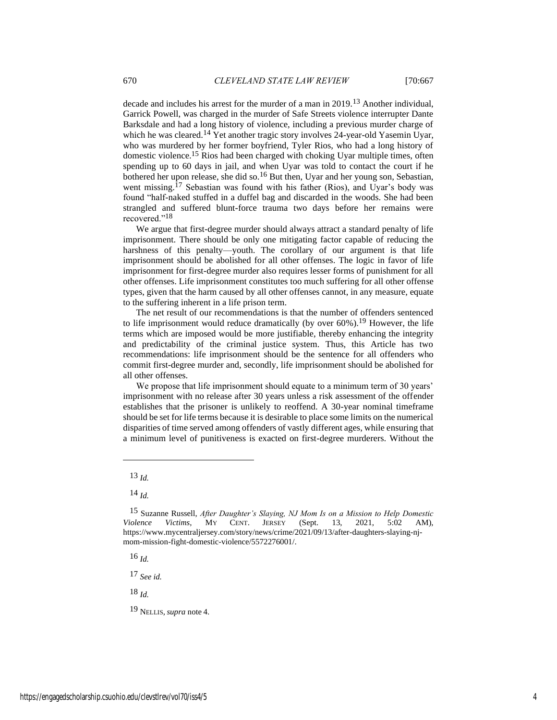decade and includes his arrest for the murder of a man in 2019.13 Another individual, Garrick Powell, was charged in the murder of Safe Streets violence interrupter Dante Barksdale and had a long history of violence, including a previous murder charge of which he was cleared.<sup>14</sup> Yet another tragic story involves 24-year-old Yasemin Uyar, who was murdered by her former boyfriend, Tyler Rios, who had a long history of domestic violence.15 Rios had been charged with choking Uyar multiple times, often spending up to 60 days in jail, and when Uyar was told to contact the court if he bothered her upon release, she did so.<sup>16</sup> But then, Uyar and her young son, Sebastian, went missing.<sup>17</sup> Sebastian was found with his father (Rios), and Uyar's body was found "half-naked stuffed in a duffel bag and discarded in the woods. She had been strangled and suffered blunt-force trauma two days before her remains were recovered."18

We argue that first-degree murder should always attract a standard penalty of life imprisonment. There should be only one mitigating factor capable of reducing the harshness of this penalty—youth. The corollary of our argument is that life imprisonment should be abolished for all other offenses. The logic in favor of life imprisonment for first-degree murder also requires lesser forms of punishment for all other offenses. Life imprisonment constitutes too much suffering for all other offense types, given that the harm caused by all other offenses cannot, in any measure, equate to the suffering inherent in a life prison term.

The net result of our recommendations is that the number of offenders sentenced to life imprisonment would reduce dramatically (by over 60%). 19 However, the life terms which are imposed would be more justifiable, thereby enhancing the integrity and predictability of the criminal justice system. Thus, this Article has two recommendations: life imprisonment should be the sentence for all offenders who commit first-degree murder and, secondly, life imprisonment should be abolished for all other offenses.

We propose that life imprisonment should equate to a minimum term of 30 years' imprisonment with no release after 30 years unless a risk assessment of the offender establishes that the prisoner is unlikely to reoffend. A 30-year nominal timeframe should be set for life terms because it is desirable to place some limits on the numerical disparities of time served among offenders of vastly different ages, while ensuring that a minimum level of punitiveness is exacted on first-degree murderers. Without the

16 *Id.*

17 *See id.*

18 *Id.*

19 NELLIS, *supra* note [4.](#page-2-0)

<sup>13</sup> *Id.*

<sup>14</sup> *Id.*

<sup>15</sup> Suzanne Russell, *After Daughter's Slaying, NJ Mom Is on a Mission to Help Domestic Violence Victims*, MY CENT. JERSEY (Sept. 13, 2021, 5:02 AM), https://www.mycentraljersey.com/story/news/crime/2021/09/13/after-daughters-slaying-njmom-mission-fight-domestic-violence/5572276001/.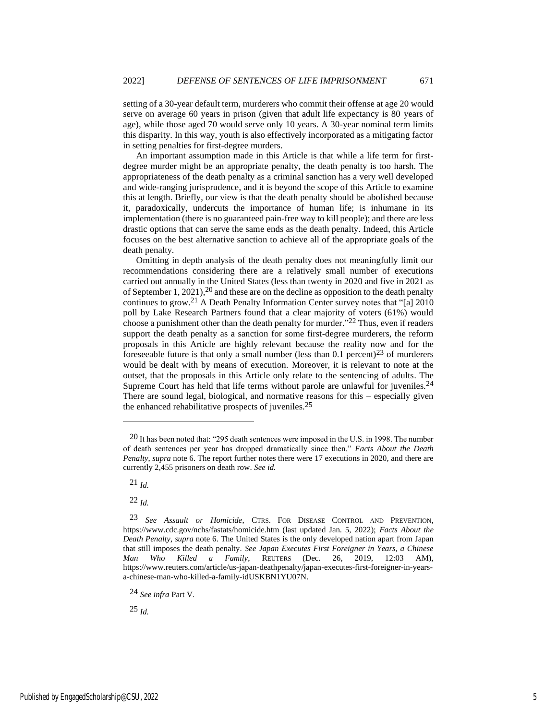setting of a 30-year default term, murderers who commit their offense at age 20 would serve on average 60 years in prison (given that adult life expectancy is 80 years of age), while those aged 70 would serve only 10 years. A 30-year nominal term limits this disparity. In this way, youth is also effectively incorporated as a mitigating factor in setting penalties for first-degree murders.

An important assumption made in this Article is that while a life term for firstdegree murder might be an appropriate penalty, the death penalty is too harsh. The appropriateness of the death penalty as a criminal sanction has a very well developed and wide-ranging jurisprudence, and it is beyond the scope of this Article to examine this at length. Briefly, our view is that the death penalty should be abolished because it, paradoxically, undercuts the importance of human life; is inhumane in its implementation (there is no guaranteed pain-free way to kill people); and there are less drastic options that can serve the same ends as the death penalty. Indeed, this Article focuses on the best alternative sanction to achieve all of the appropriate goals of the death penalty.

Omitting in depth analysis of the death penalty does not meaningfully limit our recommendations considering there are a relatively small number of executions carried out annually in the United States (less than twenty in 2020 and five in 2021 as of September 1, 2021), <sup>20</sup> and these are on the decline as opposition to the death penalty continues to grow.21 A Death Penalty Information Center survey notes that "[a] 2010 poll by Lake Research Partners found that a clear majority of voters (61%) would choose a punishment other than the death penalty for murder." 22 Thus, even if readers support the death penalty as a sanction for some first-degree murderers, the reform proposals in this Article are highly relevant because the reality now and for the foreseeable future is that only a small number (less than  $0.1$  percent)<sup>23</sup> of murderers would be dealt with by means of execution. Moreover, it is relevant to note at the outset, that the proposals in this Article only relate to the sentencing of adults. The Supreme Court has held that life terms without parole are unlawful for juveniles.<sup>24</sup> There are sound legal, biological, and normative reasons for this – especially given the enhanced rehabilitative prospects of juveniles.25

21 *Id.*

22 *Id.*

 $20$  It has been noted that: "295 death sentences were imposed in the U.S. in 1998. The number of death sentences per year has dropped dramatically since then." *Facts About the Death Penalty*, *supra* note [6.](#page-3-0) The report further notes there were 17 executions in 2020, and there are currently 2,455 prisoners on death row. *See id.*

<sup>23</sup> *See Assault or Homicide*, CTRS. FOR DISEASE CONTROL AND PREVENTION, https://www.cdc.gov/nchs/fastats/homicide.htm (last updated Jan. 5, 2022); *Facts About the Death Penalty*, *supra* note [6.](#page-3-0) The United States is the only developed nation apart from Japan that still imposes the death penalty. *See Japan Executes First Foreigner in Years, a Chinese Man Who Killed a Family*, REUTERS (Dec. 26, 2019, 12:03 AM), https://www.reuters.com/article/us-japan-deathpenalty/japan-executes-first-foreigner-in-yearsa-chinese-man-who-killed-a-family-idUSKBN1YU07N.

<sup>24</sup> *See infra* Part V.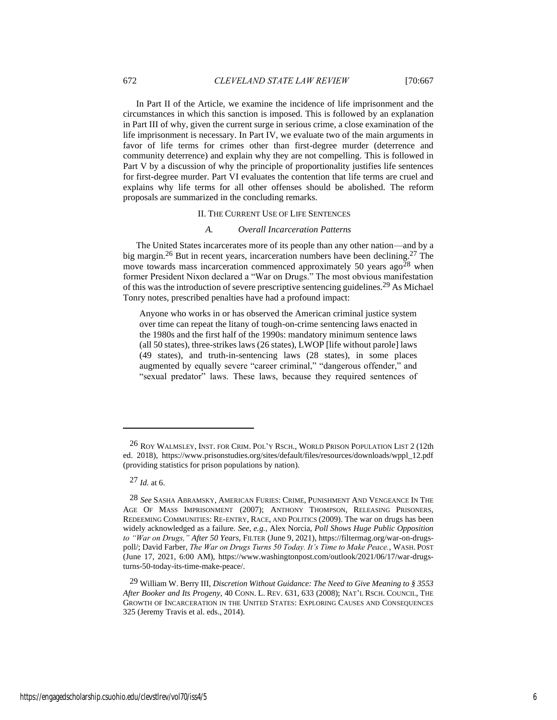In Part II of the Article, we examine the incidence of life imprisonment and the circumstances in which this sanction is imposed. This is followed by an explanation in Part III of why, given the current surge in serious crime, a close examination of the life imprisonment is necessary. In Part IV, we evaluate two of the main arguments in favor of life terms for crimes other than first-degree murder (deterrence and community deterrence) and explain why they are not compelling. This is followed in Part V by a discussion of why the principle of proportionality justifies life sentences for first-degree murder. Part VI evaluates the contention that life terms are cruel and explains why life terms for all other offenses should be abolished. The reform proposals are summarized in the concluding remarks.

## II. THE CURRENT USE OF LIFE SENTENCES

#### <span id="page-6-0"></span>*A. Overall Incarceration Patterns*

The United States incarcerates more of its people than any other nation—and by a big margin.26 But in recent years, incarceration numbers have been declining. 27 The move towards mass incarceration commenced approximately 50 years  $a\text{g}o^{28}$  when former President Nixon declared a "War on Drugs." The most obvious manifestation of this was the introduction of severe prescriptive sentencing guidelines.29 As Michael Tonry notes, prescribed penalties have had a profound impact:

Anyone who works in or has observed the American criminal justice system over time can repeat the litany of tough-on-crime sentencing laws enacted in the 1980s and the first half of the 1990s: mandatory minimum sentence laws (all 50 states), three-strikes laws (26 states), LWOP [life without parole] laws (49 states), and truth-in-sentencing laws (28 states), in some places augmented by equally severe "career criminal," "dangerous offender," and "sexual predator" laws. These laws, because they required sentences of

27 *Id.* at 6.

<sup>26</sup> ROY WALMSLEY, INST. FOR CRIM. POL'Y RSCH., WORLD PRISON POPULATION LIST 2 (12th ed. 2018), https://www.prisonstudies.org/sites/default/files/resources/downloads/wppl\_12.pdf (providing statistics for prison populations by nation).

<sup>28</sup> *See* SASHA ABRAMSKY, AMERICAN FURIES: CRIME, PUNISHMENT AND VENGEANCE IN THE AGE OF MASS IMPRISONMENT (2007); ANTHONY THOMPSON, RELEASING PRISONERS, REDEEMING COMMUNITIES: RE-ENTRY, RACE, AND POLITICS (2009). The war on drugs has been widely acknowledged as a failure. *See, e.g.*, Alex Norcia, *Poll Shows Huge Public Opposition to "War on Drugs," After 50 Years*, FILTER (June 9, 2021), https://filtermag.org/war-on-drugspoll/; David Farber, *The War on Drugs Turns 50 Today. It's Time to Make Peace.*, WASH. POST (June 17, 2021, 6:00 AM), https://www.washingtonpost.com/outlook/2021/06/17/war-drugsturns-50-today-its-time-make-peace/.

<sup>29</sup> William W. Berry III, *Discretion Without Guidance: The Need to Give Meaning to § 3553 After Booker and Its Progeny*, 40 CONN. L. REV. 631, 633 (2008); NAT'L RSCH. COUNCIL, THE GROWTH OF INCARCERATION IN THE UNITED STATES: EXPLORING CAUSES AND CONSEQUENCES 325 (Jeremy Travis et al. eds., 2014).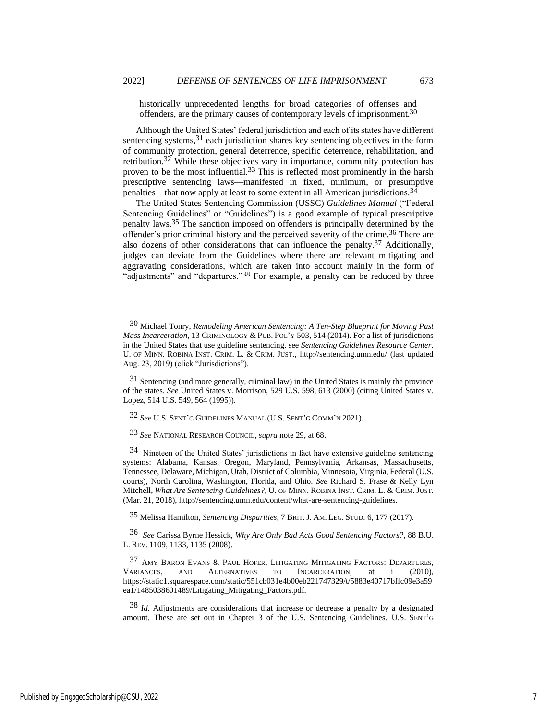historically unprecedented lengths for broad categories of offenses and offenders, are the primary causes of contemporary levels of imprisonment.<sup>30</sup>

Although the United States' federal jurisdiction and each of its states have different sentencing systems,<sup>31</sup> each jurisdiction shares key sentencing objectives in the form of community protection, general deterrence, specific deterrence, rehabilitation, and retribution.<sup>32</sup> While these objectives vary in importance, community protection has proven to be the most influential.<sup>33</sup> This is reflected most prominently in the harsh prescriptive sentencing laws—manifested in fixed, minimum, or presumptive penalties—that now apply at least to some extent in all American jurisdictions.34

The United States Sentencing Commission (USSC) *Guidelines Manual* ("Federal Sentencing Guidelines" or "Guidelines") is a good example of typical prescriptive penalty laws.35 The sanction imposed on offenders is principally determined by the offender's prior criminal history and the perceived severity of the crime.36 There are also dozens of other considerations that can influence the penalty.<sup>37</sup> Additionally, judges can deviate from the Guidelines where there are relevant mitigating and aggravating considerations, which are taken into account mainly in the form of "adjustments" and "departures."<sup>38</sup> For example, a penalty can be reduced by three

32 *See* U.S. SENT'G GUIDELINES MANUAL (U.S. SENT'G COMM'N 2021).

33 *See* NATIONAL RESEARCH COUNCIL, *supra* note [29,](#page-6-0) at 68.

34 Nineteen of the United States' jurisdictions in fact have extensive guideline sentencing systems: Alabama, Kansas, Oregon, Maryland, Pennsylvania, Arkansas, Massachusetts, Tennessee, Delaware, Michigan, Utah, District of Columbia, Minnesota, Virginia, Federal (U.S. courts), North Carolina, Washington, Florida, and Ohio. *See* Richard S. Frase & Kelly Lyn Mitchell, *What Are Sentencing Guidelines?*, U. OF MINN. ROBINA INST. CRIM. L. & CRIM. JUST. (Mar. 21, 2018), http://sentencing.umn.edu/content/what-are-sentencing-guidelines.

35 Melissa Hamilton, *Sentencing Disparities*, 7 BRIT.J. AM. LEG. STUD. 6, 177 (2017).

36 *See* Carissa Byrne Hessick, *Why Are Only Bad Acts Good Sentencing Factors?*, 88 B.U. L. REV. 1109, 1133, 1135 (2008).

37 AMY BARON EVANS & PAUL HOFER, LITIGATING MITIGATING FACTORS: DEPARTURES, VARIANCES, AND ALTERNATIVES TO INCARCERATION, at i (2010), https://static1.squarespace.com/static/551cb031e4b00eb221747329/t/5883e40717bffc09e3a59 ea1/1485038601489/Litigating\_Mitigating\_Factors.pdf.

38 *Id.* Adjustments are considerations that increase or decrease a penalty by a designated amount. These are set out in Chapter 3 of the U.S. Sentencing Guidelines. U.S. SENT'G

<sup>30</sup> Michael Tonry, *Remodeling American Sentencing: A Ten-Step Blueprint for Moving Past Mass Incarceration*, 13 CRIMINOLOGY & PUB. POL'Y 503, 514 (2014). For a list of jurisdictions in the United States that use guideline sentencing, see *Sentencing Guidelines Resource Center*, U. OF MINN. ROBINA INST. CRIM. L. & CRIM. JUST., http://sentencing.umn.edu/ (last updated Aug. 23, 2019) (click "Jurisdictions").

<sup>31</sup> Sentencing (and more generally, criminal law) in the United States is mainly the province of the states. *See* United States v. Morrison, 529 U.S. 598, 613 (2000) (citing United States v. Lopez, 514 U.S. 549, 564 (1995)).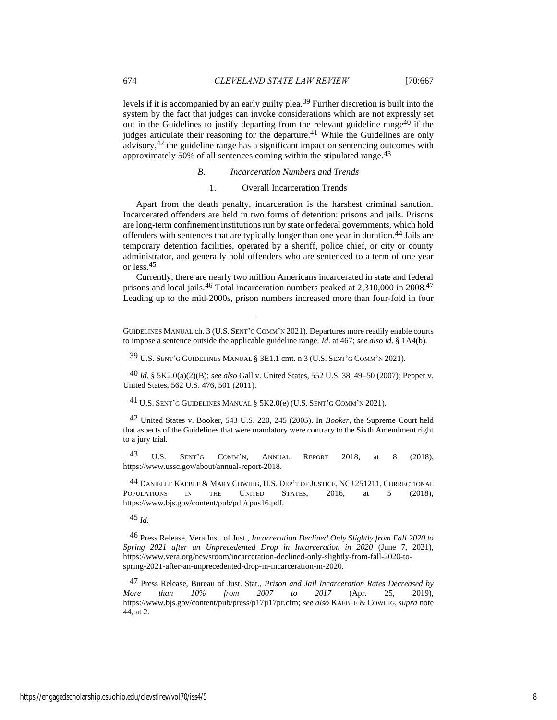levels if it is accompanied by an early guilty plea.39 Further discretion is built into the system by the fact that judges can invoke considerations which are not expressly set out in the Guidelines to justify departing from the relevant guideline range40 if the judges articulate their reasoning for the departure.<sup>41</sup> While the Guidelines are only advisory,42 the guideline range has a significant impact on sentencing outcomes with approximately 50% of all sentences coming within the stipulated range.43

## *B. Incarceration Numbers and Trends*

## <span id="page-8-0"></span>1. Overall Incarceration Trends

Apart from the death penalty, incarceration is the harshest criminal sanction. Incarcerated offenders are held in two forms of detention: prisons and jails. Prisons are long-term confinement institutions run by state or federal governments, which hold offenders with sentences that are typically longer than one year in duration.44 Jails are temporary detention facilities, operated by a sheriff, police chief, or city or county administrator, and generally hold offenders who are sentenced to a term of one year or less.45

<span id="page-8-1"></span>Currently, there are nearly two million Americans incarcerated in state and federal prisons and local jails.<sup>46</sup> Total incarceration numbers peaked at 2,310,000 in 2008.<sup>47</sup> Leading up to the mid-2000s, prison numbers increased more than four-fold in four

43 U.S. SENT'G COMM'N, ANNUAL REPORT 2018, at 8 (2018), https://www.ussc.gov/about/annual-report-2018.

<sup>44</sup> DANIELLE KAEBLE & MARY COWHIG, U.S. DEP'T OF JUSTICE, NCJ 251211, CORRECTIONAL<br>OPULATIONS IN THE UNITED STATES, 2016. at 5 (2018). POPULATIONS IN THE UNITED STATES, 2016, at 5 (2018), https://www.bjs.gov/content/pub/pdf/cpus16.pdf.

45 *Id.*

46 Press Release, Vera Inst. of Just., *Incarceration Declined Only Slightly from Fall 2020 to Spring 2021 after an Unprecedented Drop in Incarceration in 2020* (June 7, 2021), https://www.vera.org/newsroom/incarceration-declined-only-slightly-from-fall-2020-tospring-2021-after-an-unprecedented-drop-in-incarceration-in-2020.

47 Press Release, Bureau of Just. Stat., *Prison and Jail Incarceration Rates Decreased by More than 10% from 2007 to 2017* (Apr. 25, 2019), https://www.bjs.gov/content/pub/press/p17ji17pr.cfm; *see also* KAEBLE & COWHIG, *supra* note [44,](#page-8-0) at 2.

GUIDELINES MANUAL ch. 3 (U.S. SENT'G COMM'N 2021). Departures more readily enable courts to impose a sentence outside the applicable guideline range. *Id*. at 467; *see also id*. § 1A4(b).

<sup>39</sup> U.S. SENT'G GUIDELINES MANUAL § 3E1.1 cmt. n.3 (U.S. SENT'G COMM'N 2021).

<sup>40</sup> *Id.* § 5K2.0(a)(2)(B); *see also* Gall v. United States, 552 U.S. 38, 49–50 (2007); Pepper v. United States, 562 U.S. 476, 501 (2011).

<sup>41</sup> U.S. SENT'G GUIDELINES MANUAL § 5K2.0(e) (U.S. SENT'G COMM'N 2021).

<sup>42</sup> United States v. Booker, 543 U.S. 220, 245 (2005). In *Booker*, the Supreme Court held that aspects of the Guidelines that were mandatory were contrary to the Sixth Amendment right to a jury trial.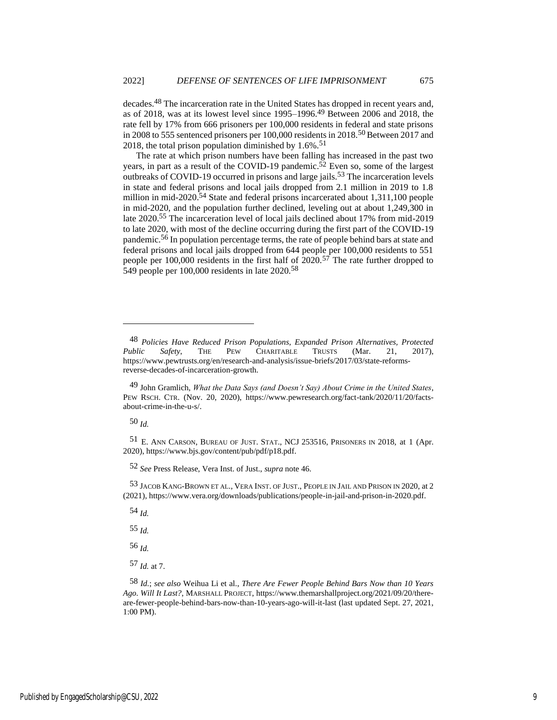decades.48 The incarceration rate in the United States has dropped in recent years and, as of 2018, was at its lowest level since 1995–1996.49 Between 2006 and 2018, the rate fell by 17% from 666 prisoners per 100,000 residents in federal and state prisons in 2008 to 555 sentenced prisoners per 100,000 residents in 2018.50 Between 2017 and 2018, the total prison population diminished by  $1.6\%$ .<sup>51</sup>

The rate at which prison numbers have been falling has increased in the past two years, in part as a result of the COVID-19 pandemic.<sup>52</sup> Even so, some of the largest outbreaks of COVID-19 occurred in prisons and large jails.<sup>53</sup> The incarceration levels in state and federal prisons and local jails dropped from 2.1 million in 2019 to 1.8 million in mid-2020.54 State and federal prisons incarcerated about 1,311,100 people in mid-2020, and the population further declined, leveling out at about 1,249,300 in late 2020.55 The incarceration level of local jails declined about 17% from mid-2019 to late 2020, with most of the decline occurring during the first part of the COVID-19 pandemic.56 In population percentage terms, the rate of people behind bars at state and federal prisons and local jails dropped from 644 people per 100,000 residents to 551 people per 100,000 residents in the first half of 2020.57 The rate further dropped to 549 people per 100,000 residents in late 2020.58

50 *Id.*

51 E. ANN CARSON, BUREAU OF JUST. STAT., NCJ 253516, PRISONERS IN 2018*,* at 1 (Apr. 2020), https://www.bjs.gov/content/pub/pdf/p18.pdf.

52 *See* Press Release, Vera Inst. of Just., *supra* note [46.](#page-8-1)

53 JACOB KANG-BROWN ET AL., VERA INST. OF JUST., PEOPLE IN JAIL AND PRISON IN 2020, at 2 (2021), https://www.vera.org/downloads/publications/people-in-jail-and-prison-in-2020.pdf.

54 *Id.*

55 *Id.*

56 *Id.*

57 *Id.* at 7.

58 *Id.*; *see also* Weihua Li et al., *There Are Fewer People Behind Bars Now than 10 Years Ago. Will It Last?*, MARSHALL PROJECT, https://www.themarshallproject.org/2021/09/20/thereare-fewer-people-behind-bars-now-than-10-years-ago-will-it-last (last updated Sept. 27, 2021, 1:00 PM).

<span id="page-9-0"></span>

<sup>48</sup> *Policies Have Reduced Prison Populations, Expanded Prison Alternatives, Protected Public Safety*, THE PEW CHARITABLE TRUSTS (Mar. 21, 2017), https://www.pewtrusts.org/en/research-and-analysis/issue-briefs/2017/03/state-reformsreverse-decades-of-incarceration-growth.

<sup>49</sup> John Gramlich, *What the Data Says (and Doesn't Say) About Crime in the United States*, PEW RSCH. CTR. (Nov. 20, 2020), https://www.pewresearch.org/fact-tank/2020/11/20/factsabout-crime-in-the-u-s/.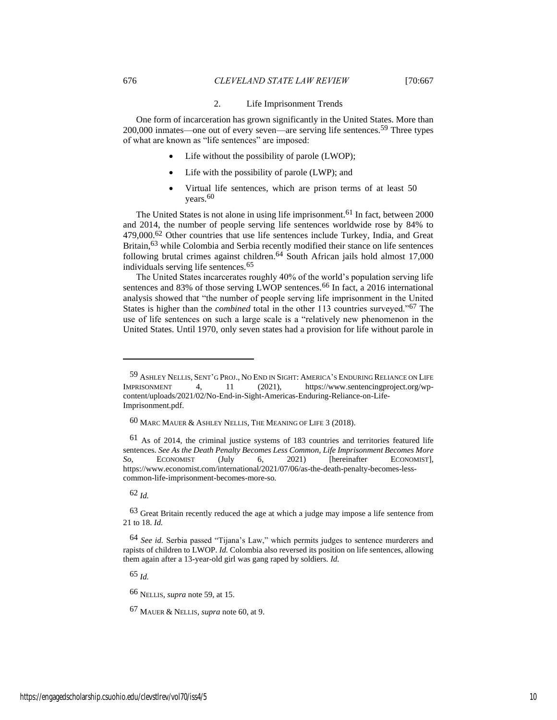#### <span id="page-10-2"></span><span id="page-10-0"></span>2. Life Imprisonment Trends

One form of incarceration has grown significantly in the United States. More than 200,000 inmates—one out of every seven—are serving life sentences.59 Three types of what are known as "life sentences" are imposed:

- Life without the possibility of parole (LWOP);
- Life with the possibility of parole (LWP); and
- <span id="page-10-1"></span>• Virtual life sentences, which are prison terms of at least 50 years.<sup>60</sup>

The United States is not alone in using life imprisonment.61 In fact, between 2000 and 2014, the number of people serving life sentences worldwide rose by 84% to 479,000.62 Other countries that use life sentences include Turkey, India, and Great Britain,63 while Colombia and Serbia recently modified their stance on life sentences following brutal crimes against children.<sup>64</sup> South African jails hold almost  $17,000$ individuals serving life sentences.<sup>65</sup>

The United States incarcerates roughly 40% of the world's population serving life sentences and 83% of those serving LWOP sentences.<sup>66</sup> In fact, a 2016 international analysis showed that "the number of people serving life imprisonment in the United States is higher than the *combined* total in the other 113 countries surveyed."67 The use of life sentences on such a large scale is a "relatively new phenomenon in the United States. Until 1970, only seven states had a provision for life without parole in

62 *Id.*

63 Great Britain recently reduced the age at which a judge may impose a life sentence from 21 to 18. *Id.*

65 *Id.*

66 NELLIS, *supra* not[e 59,](#page-10-0) at 15.

67 MAUER & NELLIS, *supra* note [60,](#page-10-1) at 9.

<sup>59</sup> ASHLEY NELLIS, SENT'G PROJ., NO END IN SIGHT: AMERICA'S ENDURING RELIANCE ON LIFE IMPRISONMENT 4, 11 (2021), https://www.sentencingproject.org/wpcontent/uploads/2021/02/No-End-in-Sight-Americas-Enduring-Reliance-on-Life-Imprisonment.pdf.

<sup>60</sup> MARC MAUER & ASHLEY NELLIS, THE MEANING OF LIFE 3 (2018).

<sup>61</sup> As of 2014, the criminal justice systems of 183 countries and territories featured life sentences. *See As the Death Penalty Becomes Less Common, Life Imprisonment Becomes More So*, ECONOMIST (July 6, 2021) [hereinafter ECONOMIST], https://www.economist.com/international/2021/07/06/as-the-death-penalty-becomes-lesscommon-life-imprisonment-becomes-more-so*.*

<sup>64</sup> *See id.* Serbia passed "Tijana's Law," which permits judges to sentence murderers and rapists of children to LWOP. *Id.* Colombia also reversed its position on life sentences, allowing them again after a 13-year-old girl was gang raped by soldiers. *Id.*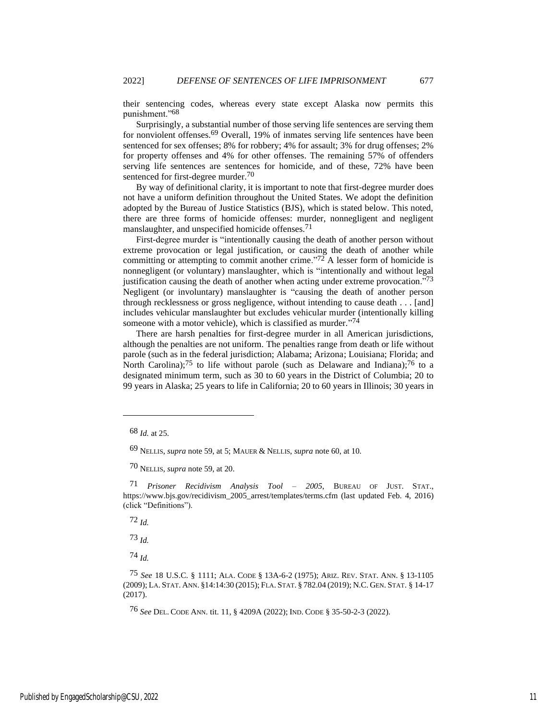their sentencing codes, whereas every state except Alaska now permits this punishment."68

Surprisingly, a substantial number of those serving life sentences are serving them for nonviolent offenses.69 Overall, 19% of inmates serving life sentences have been sentenced for sex offenses; 8% for robbery; 4% for assault; 3% for drug offenses; 2% for property offenses and 4% for other offenses. The remaining 57% of offenders serving life sentences are sentences for homicide, and of these, 72% have been sentenced for first-degree murder.<sup>70</sup>

By way of definitional clarity, it is important to note that first-degree murder does not have a uniform definition throughout the United States. We adopt the definition adopted by the Bureau of Justice Statistics (BJS), which is stated below. This noted, there are three forms of homicide offenses: murder, nonnegligent and negligent manslaughter, and unspecified homicide offenses.<sup>71</sup>

<span id="page-11-0"></span>First-degree murder is "intentionally causing the death of another person without extreme provocation or legal justification, or causing the death of another while committing or attempting to commit another crime."<sup>72</sup> A lesser form of homicide is nonnegligent (or voluntary) manslaughter, which is "intentionally and without legal justification causing the death of another when acting under extreme provocation."73 Negligent (or involuntary) manslaughter is "causing the death of another person through recklessness or gross negligence, without intending to cause death . . . [and] includes vehicular manslaughter but excludes vehicular murder (intentionally killing someone with a motor vehicle), which is classified as murder."<sup>74</sup>

<span id="page-11-1"></span>There are harsh penalties for first-degree murder in all American jurisdictions, although the penalties are not uniform. The penalties range from death or life without parole (such as in the federal jurisdiction; Alabama; Arizona; Louisiana; Florida; and North Carolina);<sup>75</sup> to life without parole (such as Delaware and Indiana);<sup>76</sup> to a designated minimum term, such as 30 to 60 years in the District of Columbia; 20 to 99 years in Alaska; 25 years to life in California; 20 to 60 years in Illinois; 30 years in

71 *Prisoner Recidivism Analysis Tool – 2005*, BUREAU OF JUST. STAT., https://www.bjs.gov/recidivism\_2005\_arrest/templates/terms.cfm (last updated Feb. 4, 2016) (click "Definitions").

72 *Id.*

73 *Id.*

74 *Id.*

76 *See* DEL. CODE ANN. tit. 11, § 4209A (2022); IND. CODE § 35-50-2-3 (2022).

<sup>68</sup> *Id.* at 25.

<sup>69</sup> NELLIS, *supra* not[e 59,](#page-10-0) at 5; MAUER & NELLIS, *supra* note [60,](#page-10-1) at 10.

<sup>70</sup> NELLIS, *supra* not[e 59,](#page-10-0) at 20.

<sup>75</sup> *See* 18 U.S.C. § 1111; ALA. CODE § 13A-6-2 (1975); ARIZ. REV. STAT. ANN. § 13-1105 (2009); LA. STAT. ANN. §14:14:30 (2015); FLA. STAT. § 782.04 (2019); N.C. GEN. STAT. § 14-17 (2017).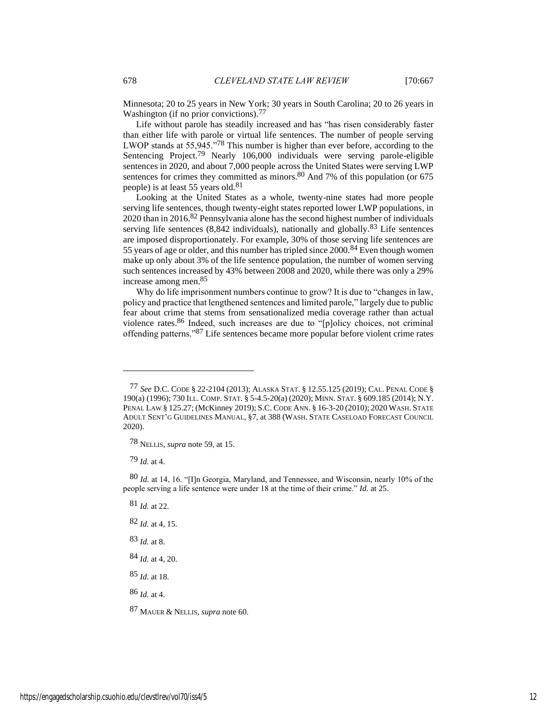Minnesota; 20 to 25 years in New York; 30 years in South Carolina; 20 to 26 years in Washington (if no prior convictions).<sup>77</sup>

Life without parole has steadily increased and has "has risen considerably faster than either life with parole or virtual life sentences. The number of people serving LWOP stands at 55,945."78 This number is higher than ever before, according to the Sentencing Project.<sup>79</sup> Nearly 106,000 individuals were serving parole-eligible sentences in 2020, and about 7,000 people across the United States were serving LWP sentences for crimes they committed as minors.<sup>80</sup> And 7% of this population (or 675) people) is at least 55 years old.<sup>81</sup>

Looking at the United States as a whole, twenty-nine states had more people serving life sentences, though twenty-eight states reported lower LWP populations, in 2020 than in 2016.<sup>82</sup> Pennsylvania alone has the second highest number of individuals serving life sentences  $(8,842 \text{ individuals})$ , nationally and globally.<sup>83</sup> Life sentences are imposed disproportionately. For example, 30% of those serving life sentences are 55 years of age or older, and this number has tripled since 2000.84 Even though women make up only about 3% of the life sentence population, the number of women serving such sentences increased by 43% between 2008 and 2020, while there was only a 29% increase among men.85

Why do life imprisonment numbers continue to grow? It is due to "changes in law, policy and practice that lengthened sentences and limited parole," largely due to public fear about crime that stems from sensationalized media coverage rather than actual violence rates.86 Indeed, such increases are due to "[p]olicy choices, not criminal offending patterns."87 Life sentences became more popular before violent crime rates

79 *Id.* at 4.

- 81 *Id.* at 22.
- 82 *Id.* at 4, 15.
- 83 *Id.* at 8.
- 84 *Id.* at 4, 20.

85 *Id.* at 18.

86 *Id.* at 4.

87 MAUER & NELLIS, *supra* note [60.](#page-10-1)

<sup>77</sup> *See* D.C. CODE § 22-2104 (2013); ALASKA STAT. § 12.55.125 (2019); CAL. PENAL CODE § 190(a) (1996); 730 ILL. COMP. STAT. § 5-4.5-20(a) (2020); MINN. STAT. § 609.185 (2014); N.Y. PENAL LAW § 125.27; (McKinney 2019); S.C. CODE ANN. § 16-3-20 (2010); 2020 WASH. STATE ADULT SENT'G GUIDELINES MANUAL, §7, at 388 (WASH. STATE CASELOAD FORECAST COUNCIL 2020).

<sup>78</sup> NELLIS, *supra* not[e 59,](#page-10-0) at 15.

<sup>80</sup> *Id.* at 14, 16. "[I]n Georgia, Maryland, and Tennessee, and Wisconsin, nearly 10% of the people serving a life sentence were under 18 at the time of their crime." *Id.* at 25.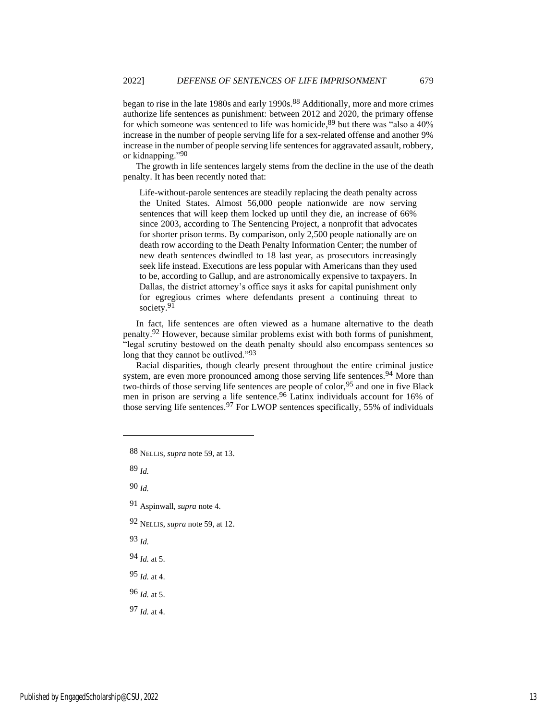began to rise in the late 1980s and early 1990s.<sup>88</sup> Additionally, more and more crimes authorize life sentences as punishment: between 2012 and 2020, the primary offense for which someone was sentenced to life was homicide, <sup>89</sup> but there was "also a 40% increase in the number of people serving life for a sex-related offense and another 9% increase in the number of people serving life sentences for aggravated assault, robbery, or kidnapping."90

The growth in life sentences largely stems from the decline in the use of the death penalty. It has been recently noted that:

Life-without-parole sentences are steadily replacing the death penalty across the United States. Almost 56,000 people nationwide are now serving sentences that will keep them locked up until they die, an increase of 66% since 2003, according to The Sentencing Project, a nonprofit that advocates for shorter prison terms. By comparison, only 2,500 people nationally are on death row according to the Death Penalty Information Center; the number of new death sentences dwindled to 18 last year, as prosecutors increasingly seek life instead. Executions are less popular with Americans than they used to be, according to Gallup, and are astronomically expensive to taxpayers. In Dallas, the district attorney's office says it asks for capital punishment only for egregious crimes where defendants present a continuing threat to society.<sup>91</sup>

In fact, life sentences are often viewed as a humane alternative to the death penalty.92 However, because similar problems exist with both forms of punishment, "legal scrutiny bestowed on the death penalty should also encompass sentences so long that they cannot be outlived."<sup>93</sup>

Racial disparities, though clearly present throughout the entire criminal justice system, are even more pronounced among those serving life sentences.<sup>94</sup> More than two-thirds of those serving life sentences are people of color,95 and one in five Black men in prison are serving a life sentence.96 Latinx individuals account for 16% of those serving life sentences.97 For LWOP sentences specifically, 55% of individuals

88 NELLIS, *supra* not[e 59,](#page-10-0) at 13.

89 *Id.*

- 91 Aspinwall, *supra* note [4.](#page-2-0)
- 92 NELLIS, *supra* not[e 59,](#page-10-0) at 12.
- 93 *Id.*
- 94 *Id.* at 5.
- 95 *Id.* at 4.
- 96 *Id.* at 5.
- 97 *Id.* at 4.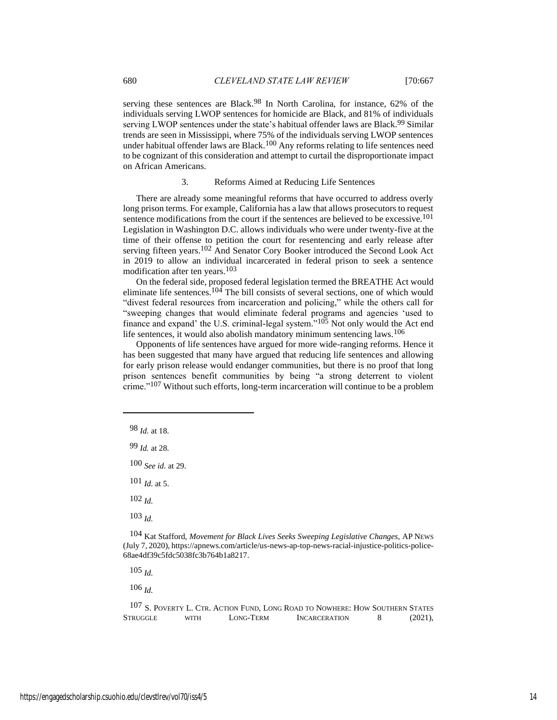serving these sentences are Black.<sup>98</sup> In North Carolina, for instance, 62% of the individuals serving LWOP sentences for homicide are Black, and 81% of individuals serving LWOP sentences under the state's habitual offender laws are Black.<sup>99</sup> Similar trends are seen in Mississippi, where 75% of the individuals serving LWOP sentences under habitual offender laws are Black.<sup>100</sup> Any reforms relating to life sentences need to be cognizant of this consideration and attempt to curtail the disproportionate impact on African Americans.

#### 3. Reforms Aimed at Reducing Life Sentences

There are already some meaningful reforms that have occurred to address overly long prison terms. For example, California has a law that allows prosecutors to request sentence modifications from the court if the sentences are believed to be excessive.<sup>101</sup> Legislation in Washington D.C. allows individuals who were under twenty-five at the time of their offense to petition the court for resentencing and early release after serving fifteen years.<sup>102</sup> And Senator Cory Booker introduced the Second Look Act in 2019 to allow an individual incarcerated in federal prison to seek a sentence modification after ten years.103

On the federal side, proposed federal legislation termed the BREATHE Act would eliminate life sentences.104 The bill consists of several sections, one of which would "divest federal resources from incarceration and policing," while the others call for "sweeping changes that would eliminate federal programs and agencies 'used to finance and expand' the U.S. criminal-legal system."105 Not only would the Act end life sentences, it would also abolish mandatory minimum sentencing laws.<sup>106</sup>

Opponents of life sentences have argued for more wide-ranging reforms. Hence it has been suggested that many have argued that reducing life sentences and allowing for early prison release would endanger communities, but there is no proof that long prison sentences benefit communities by being "a strong deterrent to violent crime."107 Without such efforts, long-term incarceration will continue to be a problem

100 *See id.* at 29.

 $101$  *Id.* at 5.

102 *Id.*

103 *Id.*

105 *Id.*

<sup>98</sup> *Id.* at 18.

<sup>99</sup> *Id.* at 28.

<sup>104</sup> Kat Stafford, *Movement for Black Lives Seeks Sweeping Legislative Changes*, AP NEWS (July 7, 2020), https://apnews.com/article/us-news-ap-top-news-racial-injustice-politics-police-68ae4df39c5fdc5038fc3b764b1a8217.

<sup>107</sup> S. POVERTY L. CTR. ACTION FUND, LONG ROAD TO NOWHERE: HOW SOUTHERN STATES STRUGGLE WITH LONG-TERM INCARCERATION 8 (2021),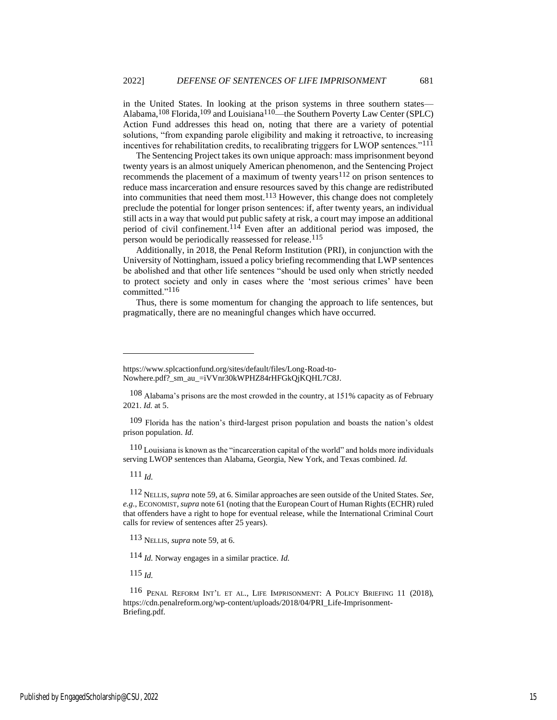in the United States. In looking at the prison systems in three southern states— Alabama,<sup>108</sup> Florida,<sup>109</sup> and Louisiana<sup>110</sup>—the Southern Poverty Law Center (SPLC) Action Fund addresses this head on, noting that there are a variety of potential solutions, "from expanding parole eligibility and making it retroactive, to increasing incentives for rehabilitation credits, to recalibrating triggers for LWOP sentences."<sup>111</sup>

The Sentencing Project takes its own unique approach: mass imprisonment beyond twenty years is an almost uniquely American phenomenon, and the Sentencing Project recommends the placement of a maximum of twenty years<sup>112</sup> on prison sentences to reduce mass incarceration and ensure resources saved by this change are redistributed into communities that need them most. $113$  However, this change does not completely preclude the potential for longer prison sentences: if, after twenty years, an individual still acts in a way that would put public safety at risk, a court may impose an additional period of civil confinement.114 Even after an additional period was imposed, the person would be periodically reassessed for release.<sup>115</sup>

Additionally, in 2018, the Penal Reform Institution (PRI), in conjunction with the University of Nottingham, issued a policy briefing recommending that LWP sentences be abolished and that other life sentences "should be used only when strictly needed to protect society and only in cases where the 'most serious crimes' have been committed."116

Thus, there is some momentum for changing the approach to life sentences, but pragmatically, there are no meaningful changes which have occurred.

109 Florida has the nation's third-largest prison population and boasts the nation's oldest prison population. *Id.*

110 Louisiana is known as the "incarceration capital of the world" and holds more individuals serving LWOP sentences than Alabama, Georgia, New York, and Texas combined. *Id.*

111 *Id.*

112 NELLIS, *supra* not[e 59,](#page-10-0) at 6. Similar approaches are seen outside of the United States. *See, e.g.*, ECONOMIST, *supra* not[e 61](#page-10-2) (noting that the European Court of Human Rights (ECHR) ruled that offenders have a right to hope for eventual release, while the International Criminal Court calls for review of sentences after 25 years).

113 NELLIS, *supra* note [59,](#page-10-0) at 6.

114 *Id.* Norway engages in a similar practice. *Id.*

115 *Id.*

116 PENAL REFORM INT'L ET AL., LIFE IMPRISONMENT: A POLICY BRIEFING 11 (2018), https://cdn.penalreform.org/wp-content/uploads/2018/04/PRI\_Life-Imprisonment-Briefing.pdf.

https://www.splcactionfund.org/sites/default/files/Long-Road-to-Nowhere.pdf?\_sm\_au\_=iVVnr30kWPHZ84rHFGkQjKQHL7C8J.

<sup>108</sup> Alabama's prisons are the most crowded in the country, at 151% capacity as of February 2021. *Id.* at 5.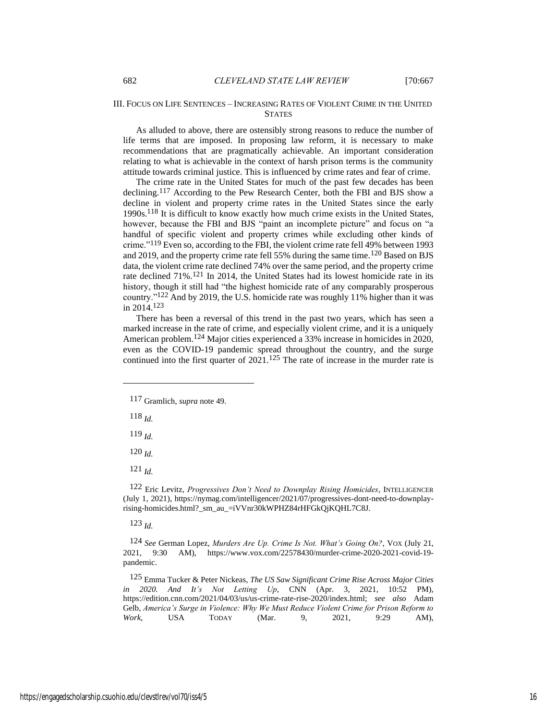## III. FOCUS ON LIFE SENTENCES – INCREASING RATES OF VIOLENT CRIME IN THE UNITED **STATES**

As alluded to above, there are ostensibly strong reasons to reduce the number of life terms that are imposed. In proposing law reform, it is necessary to make recommendations that are pragmatically achievable. An important consideration relating to what is achievable in the context of harsh prison terms is the community attitude towards criminal justice. This is influenced by crime rates and fear of crime.

The crime rate in the United States for much of the past few decades has been declining.117 According to the Pew Research Center, both the FBI and BJS show a decline in violent and property crime rates in the United States since the early 1990s.118 It is difficult to know exactly how much crime exists in the United States, however, because the FBI and BJS "paint an incomplete picture" and focus on "a handful of specific violent and property crimes while excluding other kinds of crime."119 Even so, according to the FBI, the violent crime rate fell 49% between 1993 and 2019, and the property crime rate fell 55% during the same time.<sup>120</sup> Based on BJS data, the violent crime rate declined 74% over the same period, and the property crime rate declined 71%.121 In 2014, the United States had its lowest homicide rate in its history, though it still had "the highest homicide rate of any comparably prosperous country."122 And by 2019, the U.S. homicide rate was roughly 11% higher than it was in 2014.123

<span id="page-16-1"></span>There has been a reversal of this trend in the past two years, which has seen a marked increase in the rate of crime, and especially violent crime, and it is a uniquely American problem.124 Major cities experienced a 33% increase in homicides in 2020, even as the COVID-19 pandemic spread throughout the country, and the surge continued into the first quarter of  $2021$ .<sup>125</sup> The rate of increase in the murder rate is

118 *Id.*

119 *Id.*

120 *Id.*

121 *Id.*

122 Eric Levitz, *Progressives Don't Need to Downplay Rising Homicides*, INTELLIGENCER (July 1, 2021), https://nymag.com/intelligencer/2021/07/progressives-dont-need-to-downplayrising-homicides.html?\_sm\_au\_=iVVnr30kWPHZ84rHFGkQjKQHL7C8J.

123 *Id.*

124 *See* German Lopez, *Murders Are Up. Crime Is Not. What's Going On?*, VOX (July 21, 2021, 9:30 AM), https://www.vox.com/22578430/murder-crime-2020-2021-covid-19 pandemic.

125 Emma Tucker & Peter Nickeas, *The US Saw Significant Crime Rise Across Major Cities in 2020. And It's Not Letting Up*, CNN (Apr. 3, 2021, 10:52 PM), https://edition.cnn.com/2021/04/03/us/us-crime-rate-rise-2020/index.html; *see also* Adam Gelb, *America's Surge in Violence: Why We Must Reduce Violent Crime for Prison Reform to Work*, USA TODAY (Mar. 9, 2021, 9:29 AM),

<span id="page-16-0"></span><sup>117</sup> Gramlich, *supra* not[e 49.](#page-9-0)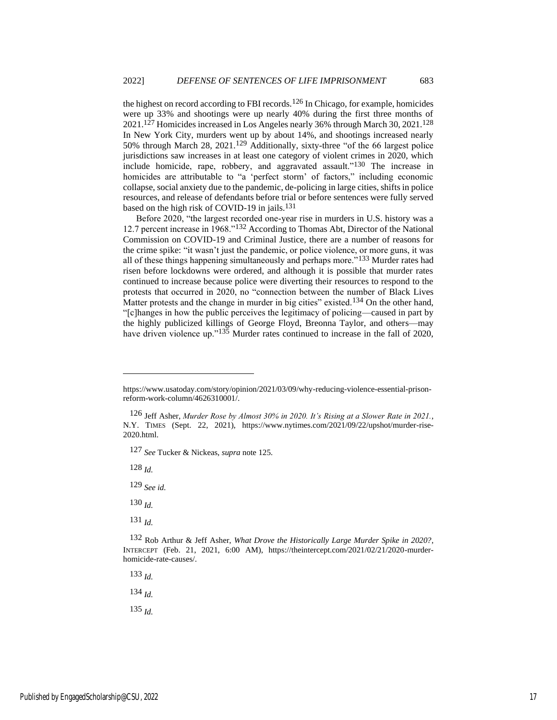the highest on record according to FBI records.<sup>126</sup> In Chicago, for example, homicides were up 33% and shootings were up nearly 40% during the first three months of 2021.127 Homicides increased in Los Angeles nearly 36% through March 30, 2021.128 In New York City, murders went up by about 14%, and shootings increased nearly 50% through March 28, 2021.129 Additionally, sixty-three "of the 66 largest police jurisdictions saw increases in at least one category of violent crimes in 2020, which include homicide, rape, robbery, and aggravated assault."130 The increase in homicides are attributable to "a 'perfect storm' of factors," including economic collapse, social anxiety due to the pandemic, de-policing in large cities, shifts in police resources, and release of defendants before trial or before sentences were fully served based on the high risk of COVID-19 in jails.<sup>131</sup>

Before 2020, "the largest recorded one-year rise in murders in U.S. history was a 12.7 percent increase in 1968."132 According to Thomas Abt, Director of the National Commission on COVID-19 and Criminal Justice, there are a number of reasons for the crime spike: "it wasn't just the pandemic, or police violence, or more guns, it was all of these things happening simultaneously and perhaps more."133 Murder rates had risen before lockdowns were ordered, and although it is possible that murder rates continued to increase because police were diverting their resources to respond to the protests that occurred in 2020, no "connection between the number of Black Lives Matter protests and the change in murder in big cities" existed.<sup>134</sup> On the other hand, "[c]hanges in how the public perceives the legitimacy of policing—caused in part by the highly publicized killings of George Floyd, Breonna Taylor, and others—may have driven violence up."<sup>135</sup> Murder rates continued to increase in the fall of 2020,

127 *See* Tucker & Nickeas, *supra* note [125.](#page-16-0)

128 *Id.*

129 *See id.*

130 *Id.*

131 *Id.*

133 *Id.*

134 *Id.*

https://www.usatoday.com/story/opinion/2021/03/09/why-reducing-violence-essential-prisonreform-work-column/4626310001/.

<sup>126</sup> Jeff Asher, *Murder Rose by Almost 30% in 2020. It's Rising at a Slower Rate in 2021.*, N.Y. TIMES (Sept. 22, 2021), https://www.nytimes.com/2021/09/22/upshot/murder-rise-2020.html.

<sup>132</sup> Rob Arthur & Jeff Asher, *What Drove the Historically Large Murder Spike in 2020?*, INTERCEPT (Feb. 21, 2021, 6:00 AM), https://theintercept.com/2021/02/21/2020-murderhomicide-rate-causes/.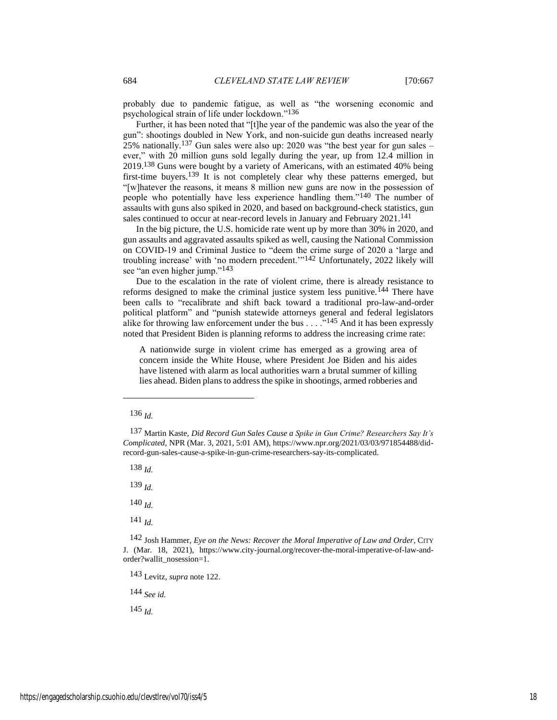probably due to pandemic fatigue, as well as "the worsening economic and psychological strain of life under lockdown."136

Further, it has been noted that "[t]he year of the pandemic was also the year of the gun": shootings doubled in New York, and non-suicide gun deaths increased nearly 25% nationally.137 Gun sales were also up: 2020 was "the best year for gun sales – ever," with 20 million guns sold legally during the year, up from 12.4 million in 2019.138 Guns were bought by a variety of Americans, with an estimated 40% being first-time buyers.139 It is not completely clear why these patterns emerged, but "[w]hatever the reasons, it means 8 million new guns are now in the possession of people who potentially have less experience handling them."140 The number of assaults with guns also spiked in 2020, and based on background-check statistics, gun sales continued to occur at near-record levels in January and February 2021.<sup>141</sup>

In the big picture, the U.S. homicide rate went up by more than 30% in 2020, and gun assaults and aggravated assaults spiked as well, causing the National Commission on COVID-19 and Criminal Justice to "deem the crime surge of 2020 a 'large and troubling increase' with 'no modern precedent.'"142 Unfortunately, 2022 likely will see "an even higher jump."<sup>143</sup>

Due to the escalation in the rate of violent crime, there is already resistance to reforms designed to make the criminal justice system less punitive.144 There have been calls to "recalibrate and shift back toward a traditional pro-law-and-order political platform" and "punish statewide attorneys general and federal legislators alike for throwing law enforcement under the bus . . . . .<sup>"145</sup> And it has been expressly noted that President Biden is planning reforms to address the increasing crime rate:

A nationwide surge in violent crime has emerged as a growing area of concern inside the White House, where President Joe Biden and his aides have listened with alarm as local authorities warn a brutal summer of killing lies ahead. Biden plans to address the spike in shootings, armed robberies and

138 *Id.*

139 *Id.*

140 *Id.*

141 *Id.*

143 Levitz, *supra* not[e 122.](#page-16-1)

144 *See id.*

<sup>136</sup> *Id.*

<sup>137</sup> Martin Kaste, *Did Record Gun Sales Cause a Spike in Gun Crime? Researchers Say It's Complicated*, NPR (Mar. 3, 2021, 5:01 AM), https://www.npr.org/2021/03/03/971854488/didrecord-gun-sales-cause-a-spike-in-gun-crime-researchers-say-its-complicated.

<sup>142</sup> Josh Hammer, *Eye on the News: Recover the Moral Imperative of Law and Order*, CITY J. (Mar. 18, 2021), https://www.city-journal.org/recover-the-moral-imperative-of-law-andorder?wallit\_nosession=1.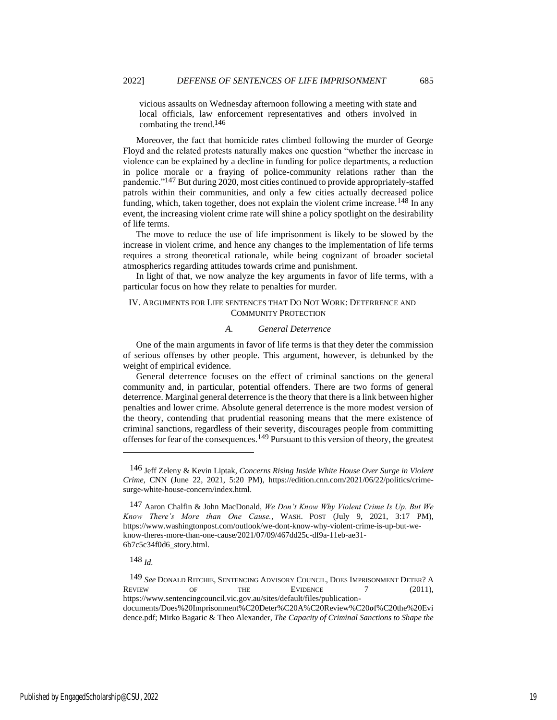vicious assaults on Wednesday afternoon following a meeting with state and local officials, law enforcement representatives and others involved in combating the trend.146

Moreover, the fact that homicide rates climbed following the murder of George Floyd and the related protests naturally makes one question "whether the increase in violence can be explained by a decline in funding for police departments, a reduction in police morale or a fraying of police-community relations rather than the pandemic."147 But during 2020, most cities continued to provide appropriately-staffed patrols within their communities, and only a few cities actually decreased police funding, which, taken together, does not explain the violent crime increase.<sup>148</sup> In any event, the increasing violent crime rate will shine a policy spotlight on the desirability of life terms.

The move to reduce the use of life imprisonment is likely to be slowed by the increase in violent crime, and hence any changes to the implementation of life terms requires a strong theoretical rationale, while being cognizant of broader societal atmospherics regarding attitudes towards crime and punishment.

In light of that, we now analyze the key arguments in favor of life terms, with a particular focus on how they relate to penalties for murder.

## IV. ARGUMENTS FOR LIFE SENTENCES THAT DO NOT WORK: DETERRENCE AND COMMUNITY PROTECTION

## <span id="page-19-0"></span>*A. General Deterrence*

One of the main arguments in favor of life terms is that they deter the commission of serious offenses by other people. This argument, however, is debunked by the weight of empirical evidence.

General deterrence focuses on the effect of criminal sanctions on the general community and, in particular, potential offenders. There are two forms of general deterrence. Marginal general deterrence is the theory that there is a link between higher penalties and lower crime. Absolute general deterrence is the more modest version of the theory, contending that prudential reasoning means that the mere existence of criminal sanctions, regardless of their severity, discourages people from committing offenses for fear of the consequences.149 Pursuant to this version of theory, the greatest

<sup>146</sup> Jeff Zeleny & Kevin Liptak, *Concerns Rising Inside White House Over Surge in Violent Crime*, CNN (June 22, 2021, 5:20 PM), https://edition.cnn.com/2021/06/22/politics/crimesurge-white-house-concern/index.html.

<sup>147</sup> Aaron Chalfin & John MacDonald, *We Don't Know Why Violent Crime Is Up. But We Know There's More than One Cause.*, WASH. POST (July 9, 2021, 3:17 PM), https://www.washingtonpost.com/outlook/we-dont-know-why-violent-crime-is-up-but-weknow-theres-more-than-one-cause/2021/07/09/467dd25c-df9a-11eb-ae31- 6b7c5c34f0d6\_story.html.

<sup>149</sup> *See* DONALD RITCHIE, SENTENCING ADVISORY COUNCIL, DOES IMPRISONMENT DETER? A REVIEW OF THE EVIDENCE 7 (2011), https://www.sentencingcouncil.vic.gov.au/sites/default/files/publicationdocuments/Does%20Imprisonment%C20Deter%C20A%C20Review%C20*o*f%C20the%20Evi dence.pdf; Mirko Bagaric & Theo Alexander, *The Capacity of Criminal Sanctions to Shape the*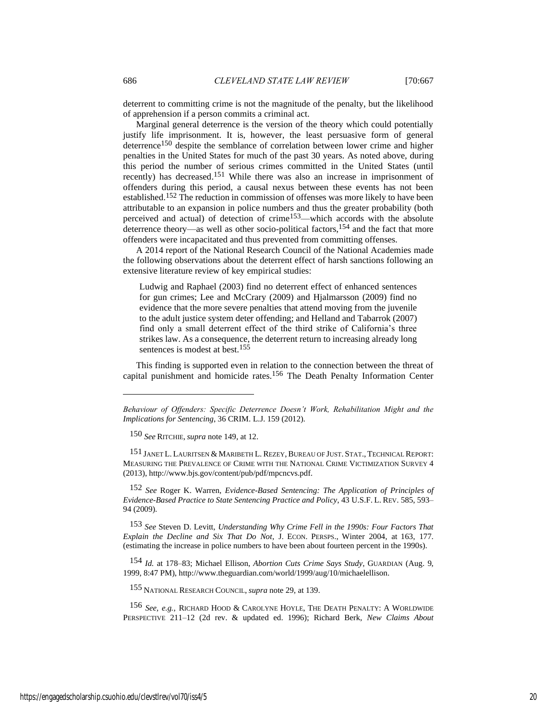deterrent to committing crime is not the magnitude of the penalty, but the likelihood of apprehension if a person commits a criminal act.

Marginal general deterrence is the version of the theory which could potentially justify life imprisonment. It is, however, the least persuasive form of general deterrence<sup>150</sup> despite the semblance of correlation between lower crime and higher penalties in the United States for much of the past 30 years. As noted above, during this period the number of serious crimes committed in the United States (until recently) has decreased. 151 While there was also an increase in imprisonment of offenders during this period, a causal nexus between these events has not been established.152 The reduction in commission of offenses was more likely to have been attributable to an expansion in police numbers and thus the greater probability (both perceived and actual) of detection of crime153—which accords with the absolute deterrence theory—as well as other socio-political factors,154 and the fact that more offenders were incapacitated and thus prevented from committing offenses.

A 2014 report of the National Research Council of the National Academies made the following observations about the deterrent effect of harsh sanctions following an extensive literature review of key empirical studies:

Ludwig and Raphael (2003) find no deterrent effect of enhanced sentences for gun crimes; Lee and McCrary (2009) and Hjalmarsson (2009) find no evidence that the more severe penalties that attend moving from the juvenile to the adult justice system deter offending; and Helland and Tabarrok (2007) find only a small deterrent effect of the third strike of California's three strikes law. As a consequence, the deterrent return to increasing already long sentences is modest at best.<sup>155</sup>

This finding is supported even in relation to the connection between the threat of capital punishment and homicide rates.156 The Death Penalty Information Center

151 JANET L. LAURITSEN & MARIBETH L.REZEY,BUREAU OF JUST. STAT., TECHNICAL REPORT: MEASURING THE PREVALENCE OF CRIME WITH THE NATIONAL CRIME VICTIMIZATION SURVEY 4 (2013), http://www.bjs.gov/content/pub/pdf/mpcncvs.pdf.

152 *See* Roger K. Warren, *Evidence-Based Sentencing: The Application of Principles of Evidence-Based Practice to State Sentencing Practice and Policy*, 43 U.S.F. L. REV. 585, 593– 94 (2009).

153 *See* Steven D. Levitt, *Understanding Why Crime Fell in the 1990s: Four Factors That Explain the Decline and Six That Do Not*, J. ECON. PERSPS., Winter 2004, at 163, 177. (estimating the increase in police numbers to have been about fourteen percent in the 1990s).

154 *Id.* at 178–83; Michael Ellison, *Abortion Cuts Crime Says Study*, GUARDIAN (Aug. 9, 1999, 8:47 PM), http://www.theguardian.com/world/1999/aug/10/michaelellison.

155 NATIONAL RESEARCH COUNCIL, *supra* not[e 29,](#page-6-0) at 139.

156 *See, e.g.*, RICHARD HOOD & CAROLYNE HOYLE, THE DEATH PENALTY: A WORLDWIDE PERSPECTIVE 211–12 (2d rev. & updated ed. 1996); Richard Berk, *New Claims About* 

*Behaviour of Offenders: Specific Deterrence Doesn't Work, Rehabilitation Might and the Implications for Sentencing*, 36 CRIM. L.J. 159 (2012).

<sup>150</sup> *See* RITCHIE, *supra* not[e 149,](#page-19-0) at 12.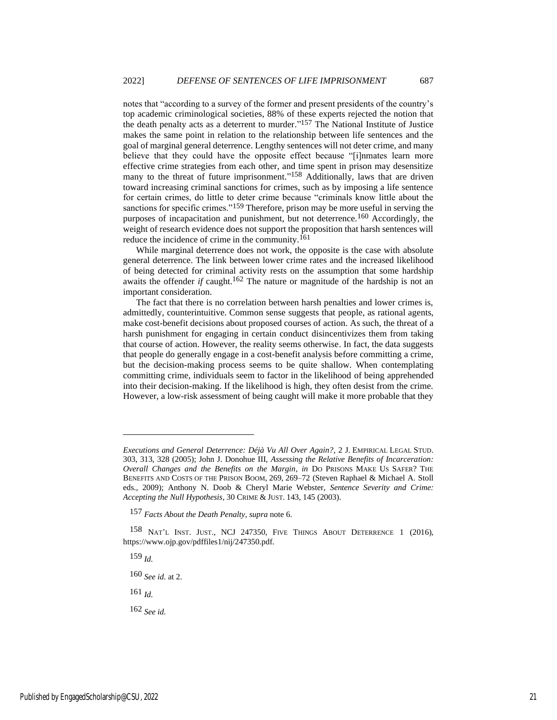<span id="page-21-0"></span>notes that "according to a survey of the former and present presidents of the country's top academic criminological societies, 88% of these experts rejected the notion that the death penalty acts as a deterrent to murder." 157 The National Institute of Justice makes the same point in relation to the relationship between life sentences and the goal of marginal general deterrence. Lengthy sentences will not deter crime, and many believe that they could have the opposite effect because "[i]nmates learn more effective crime strategies from each other, and time spent in prison may desensitize many to the threat of future imprisonment."<sup>158</sup> Additionally, laws that are driven toward increasing criminal sanctions for crimes, such as by imposing a life sentence for certain crimes, do little to deter crime because "criminals know little about the sanctions for specific crimes."<sup>159</sup> Therefore, prison may be more useful in serving the purposes of incapacitation and punishment, but not deterrence.160 Accordingly, the weight of research evidence does not support the proposition that harsh sentences will reduce the incidence of crime in the community.161

While marginal deterrence does not work, the opposite is the case with absolute general deterrence. The link between lower crime rates and the increased likelihood of being detected for criminal activity rests on the assumption that some hardship awaits the offender *if* caught.<sup>162</sup> The nature or magnitude of the hardship is not an important consideration.

The fact that there is no correlation between harsh penalties and lower crimes is, admittedly, counterintuitive. Common sense suggests that people, as rational agents, make cost-benefit decisions about proposed courses of action. As such, the threat of a harsh punishment for engaging in certain conduct disincentivizes them from taking that course of action. However, the reality seems otherwise. In fact, the data suggests that people do generally engage in a cost-benefit analysis before committing a crime, but the decision-making process seems to be quite shallow. When contemplating committing crime, individuals seem to factor in the likelihood of being apprehended into their decision-making. If the likelihood is high, they often desist from the crime. However, a low-risk assessment of being caught will make it more probable that they

159 *Id.*

160 *See id.* at 2.

161 *Id.*

162 *See id.*

*Executions and General Deterrence: Déjà Vu All Over Again?*, 2 J. EMPIRICAL LEGAL STUD. 303, 313, 328 (2005); John J. Donohue III, *Assessing the Relative Benefits of Incarceration: Overall Changes and the Benefits on the Margin*, *in* DO PRISONS MAKE US SAFER? THE BENEFITS AND COSTS OF THE PRISON BOOM, 269, 269–72 (Steven Raphael & Michael A. Stoll eds., 2009); Anthony N. Doob & Cheryl Marie Webster, *Sentence Severity and Crime: Accepting the Null Hypothesis*, 30 CRIME & JUST. 143, 145 (2003).

<sup>157</sup> *Facts About the Death Penalty*, *supra* not[e 6.](#page-3-0)

<sup>158</sup> NAT'L INST. JUST., NCJ 247350, FIVE THINGS ABOUT DETERRENCE 1 (2016), https://www.ojp.gov/pdffiles1/nij/247350.pdf.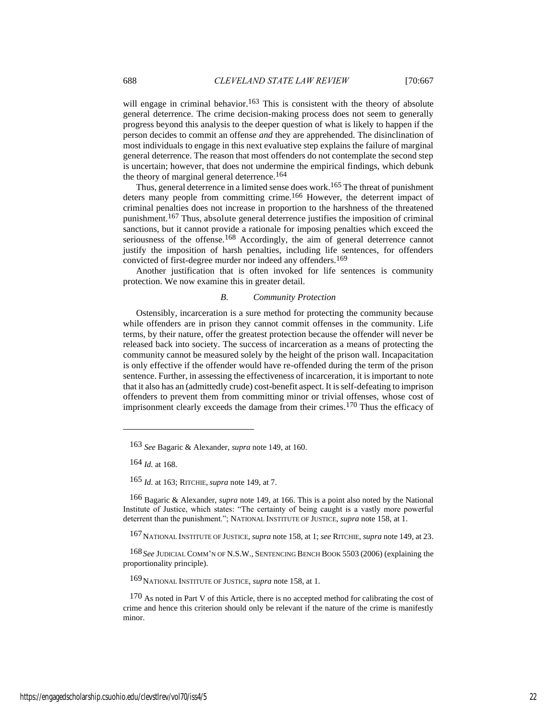will engage in criminal behavior.<sup>163</sup> This is consistent with the theory of absolute general deterrence. The crime decision-making process does not seem to generally progress beyond this analysis to the deeper question of what is likely to happen if the person decides to commit an offense *and* they are apprehended. The disinclination of most individuals to engage in this next evaluative step explains the failure of marginal general deterrence. The reason that most offenders do not contemplate the second step is uncertain; however, that does not undermine the empirical findings, which debunk the theory of marginal general deterrence.<sup>164</sup>

Thus, general deterrence in a limited sense does work.<sup>165</sup> The threat of punishment deters many people from committing crime.<sup>166</sup> However, the deterrent impact of criminal penalties does not increase in proportion to the harshness of the threatened punishment.167 Thus, absolute general deterrence justifies the imposition of criminal sanctions, but it cannot provide a rationale for imposing penalties which exceed the seriousness of the offense.<sup>168</sup> Accordingly, the aim of general deterrence cannot justify the imposition of harsh penalties, including life sentences, for offenders convicted of first-degree murder nor indeed any offenders.169

Another justification that is often invoked for life sentences is community protection. We now examine this in greater detail.

#### *B. Community Protection*

Ostensibly, incarceration is a sure method for protecting the community because while offenders are in prison they cannot commit offenses in the community. Life terms, by their nature, offer the greatest protection because the offender will never be released back into society. The success of incarceration as a means of protecting the community cannot be measured solely by the height of the prison wall. Incapacitation is only effective if the offender would have re-offended during the term of the prison sentence. Further, in assessing the effectiveness of incarceration, it is important to note that it also has an (admittedly crude) cost-benefit aspect. It is self-defeating to imprison offenders to prevent them from committing minor or trivial offenses, whose cost of imprisonment clearly exceeds the damage from their crimes.170 Thus the efficacy of

164 *Id.* at 168.

165 *Id.* at 163; RITCHIE, *supra* not[e 149,](#page-19-0) at 7.

166 Bagaric & Alexander, *supra* note 149, at 166. This is a point also noted by the National Institute of Justice, which states: "The certainty of being caught is a vastly more powerful deterrent than the punishment."; NATIONAL INSTITUTE OF JUSTICE, *supra* note [158,](#page-21-0) at 1.

167NATIONAL INSTITUTE OF JUSTICE, *supra* not[e 158,](#page-21-0) at 1; *see* RITCHIE, *supra* not[e 149,](#page-19-0) at 23.

168 *See* JUDICIAL COMM'N OF N.S.W., SENTENCING BENCH BOOK 5503 (2006) (explaining the proportionality principle).

169NATIONAL INSTITUTE OF JUSTICE, *supra* note 158, at 1.

<sup>163</sup> *See* Bagaric & Alexander, *supra* note 149, at 160.

<sup>170</sup> As noted in Part V of this Article, there is no accepted method for calibrating the cost of crime and hence this criterion should only be relevant if the nature of the crime is manifestly minor.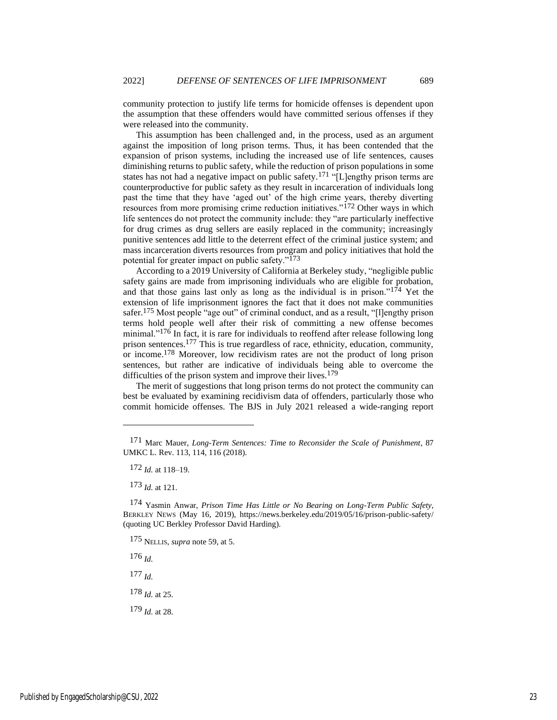community protection to justify life terms for homicide offenses is dependent upon the assumption that these offenders would have committed serious offenses if they were released into the community.

This assumption has been challenged and, in the process, used as an argument against the imposition of long prison terms. Thus, it has been contended that the expansion of prison systems, including the increased use of life sentences, causes diminishing returns to public safety, while the reduction of prison populations in some states has not had a negative impact on public safety.171 "[L]engthy prison terms are counterproductive for public safety as they result in incarceration of individuals long past the time that they have 'aged out' of the high crime years, thereby diverting resources from more promising crime reduction initiatives."<sup>172</sup> Other ways in which life sentences do not protect the community include: they "are particularly ineffective for drug crimes as drug sellers are easily replaced in the community; increasingly punitive sentences add little to the deterrent effect of the criminal justice system; and mass incarceration diverts resources from program and policy initiatives that hold the potential for greater impact on public safety."173

According to a 2019 University of California at Berkeley study, "negligible public safety gains are made from imprisoning individuals who are eligible for probation, and that those gains last only as long as the individual is in prison." $174$  Yet the extension of life imprisonment ignores the fact that it does not make communities safer.175 Most people "age out" of criminal conduct, and as a result, "[l]engthy prison terms hold people well after their risk of committing a new offense becomes minimal."<sup>176</sup> In fact, it is rare for individuals to reoffend after release following long prison sentences.177 This is true regardless of race, ethnicity, education, community, or income.178 Moreover, low recidivism rates are not the product of long prison sentences, but rather are indicative of individuals being able to overcome the difficulties of the prison system and improve their lives.<sup>179</sup>

The merit of suggestions that long prison terms do not protect the community can best be evaluated by examining recidivism data of offenders, particularly those who commit homicide offenses. The BJS in July 2021 released a wide-ranging report

173 *Id.* at 121.

175 NELLIS, *supra* note [59,](#page-10-0) at 5.

176 *Id.*

177 *Id.*

178 *Id.* at 25.

179 *Id.* at 28.

<sup>171</sup> Marc Mauer, *Long-Term Sentences: Time to Reconsider the Scale of Punishment*, 87 UMKC L. Rev. 113, 114, 116 (2018).

<sup>172</sup> *Id.* at 118–19.

<sup>174</sup> Yasmin Anwar, *Prison Time Has Little or No Bearing on Long-Term Public Safety*, BERKLEY NEWS (May 16, 2019), https://news.berkeley.edu/2019/05/16/prison-public-safety/ (quoting UC Berkley Professor David Harding).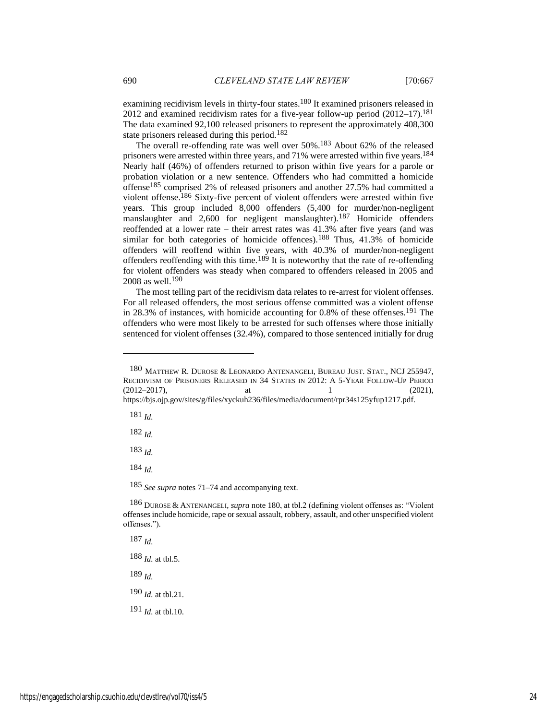<span id="page-24-0"></span>examining recidivism levels in thirty-four states.<sup>180</sup> It examined prisoners released in 2012 and examined recidivism rates for a five-year follow-up period  $(2012-17).<sup>181</sup>$ The data examined 92,100 released prisoners to represent the approximately 408,300 state prisoners released during this period.182

The overall re-offending rate was well over 50%.183 About 62% of the released prisoners were arrested within three years, and 71% were arrested within five years.184 Nearly half (46%) of offenders returned to prison within five years for a parole or probation violation or a new sentence. Offenders who had committed a homicide offense 185 comprised 2% of released prisoners and another 27.5% had committed a violent offense.<sup>186</sup> Sixty-five percent of violent offenders were arrested within five years. This group included 8,000 offenders (5,400 for murder/non-negligent manslaughter and 2,600 for negligent manslaughter).<sup>187</sup> Homicide offenders reoffended at a lower rate – their arrest rates was 41.3% after five years (and was similar for both categories of homicide offences).<sup>188</sup> Thus, 41.3% of homicide offenders will reoffend within five years, with 40.3% of murder/non-negligent offenders reoffending with this time.189 It is noteworthy that the rate of re-offending for violent offenders was steady when compared to offenders released in 2005 and 2008 as well.190

The most telling part of the recidivism data relates to re-arrest for violent offenses. For all released offenders, the most serious offense committed was a violent offense in 28.3% of instances, with homicide accounting for 0.8% of these offenses.191 The offenders who were most likely to be arrested for such offenses where those initially sentenced for violent offenses (32.4%), compared to those sentenced initially for drug

181 *Id.*

182 *Id.*

183 *Id.*

184 *Id.*

185 *See supra* note[s 71](#page-11-0)[–74](#page-11-1) and accompanying text.

187 *Id.* 188 *Id.* at tbl.5.

189 *Id.*

190 *Id.* at tbl.21.

191 *Id.* at tbl.10.

<sup>180</sup> MATTHEW R. DUROSE & LEONARDO ANTENANGELI, BUREAU JUST. STAT., NCJ 255947, RECIDIVISM OF PRISONERS RELEASED IN 34 STATES IN 2012: A 5-YEAR FOLLOW-UP PERIOD  $(2012-2017)$ , at 1 (2021), https://bjs.ojp.gov/sites/g/files/xyckuh236/files/media/document/rpr34s125yfup1217.pdf.

<sup>186</sup> DUROSE & ANTENANGELI, *supra* not[e 180,](#page-24-0) at tbl.2 (defining violent offenses as: "Violent offenses include homicide, rape or sexual assault, robbery, assault, and other unspecified violent offenses.").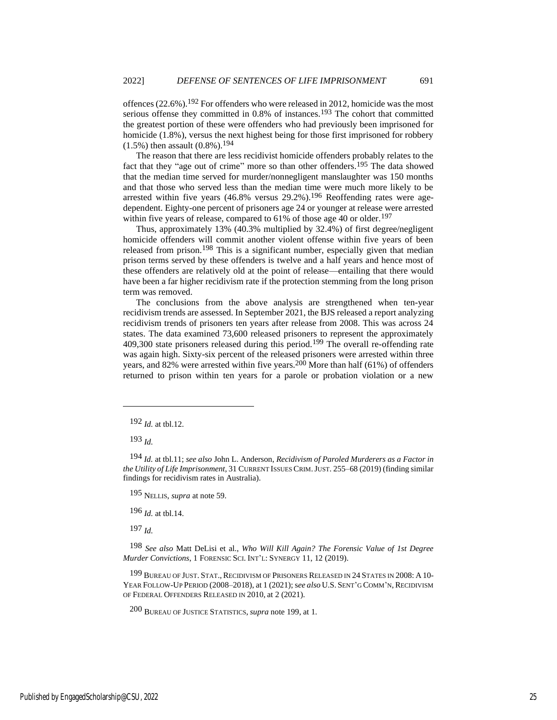offences (22.6%).192 For offenders who were released in 2012, homicide was the most serious offense they committed in  $0.8\%$  of instances.<sup>193</sup> The cohort that committed the greatest portion of these were offenders who had previously been imprisoned for homicide (1.8%), versus the next highest being for those first imprisoned for robbery  $(1.5\%)$  then assault  $(0.8\%)$ .<sup>194</sup>

The reason that there are less recidivist homicide offenders probably relates to the fact that they "age out of crime" more so than other offenders.<sup>195</sup> The data showed that the median time served for murder/nonnegligent manslaughter was 150 months and that those who served less than the median time were much more likely to be arrested within five years  $(46.8\%$  versus  $29.2\%)$ .<sup>196</sup> Reoffending rates were agedependent. Eighty-one percent of prisoners age 24 or younger at release were arrested within five years of release, compared to  $61\%$  of those age 40 or older.<sup>197</sup>

Thus, approximately 13% (40.3% multiplied by 32.4%) of first degree/negligent homicide offenders will commit another violent offense within five years of been released from prison.<sup>198</sup> This is a significant number, especially given that median prison terms served by these offenders is twelve and a half years and hence most of these offenders are relatively old at the point of release—entailing that there would have been a far higher recidivism rate if the protection stemming from the long prison term was removed.

<span id="page-25-0"></span>The conclusions from the above analysis are strengthened when ten-year recidivism trends are assessed. In September 2021, the BJS released a report analyzing recidivism trends of prisoners ten years after release from 2008. This was across 24 states. The data examined 73,600 released prisoners to represent the approximately 409,300 state prisoners released during this period.<sup>199</sup> The overall re-offending rate was again high. Sixty-six percent of the released prisoners were arrested within three years, and 82% were arrested within five years.<sup>200</sup> More than half (61%) of offenders returned to prison within ten years for a parole or probation violation or a new

193 *Id.*

195 NELLIS, *supra* at note 59.

196 *Id.* at tbl.14.

197 *Id.*

198 *See also* Matt DeLisi et al., *Who Will Kill Again? The Forensic Value of 1st Degree Murder Convictions*, 1 FORENSIC SCI. INT'L: SYNERGY 11, 12 (2019).

199 BUREAU OF JUST. STAT.,RECIDIVISM OF PRISONERS RELEASED IN 24 STATES IN 2008: A 10- YEAR FOLLOW-UP PERIOD (2008-2018), at 1 (2021); see also U.S. SENT'G COMM'N, RECIDIVISM OF FEDERAL OFFENDERS RELEASED IN 2010, at 2 (2021).

200 BUREAU OF JUSTICE STATISTICS, *supra* not[e 199,](#page-25-0) at 1.

<sup>192</sup> *Id.* at tbl.12.

<sup>194</sup> *Id.* at tbl.11; *see also* John L. Anderson, *Recidivism of Paroled Murderers as a Factor in the Utility of Life Imprisonment*, 31 CURRENT ISSUES CRIM.JUST. 255–68 (2019) (finding similar findings for recidivism rates in Australia).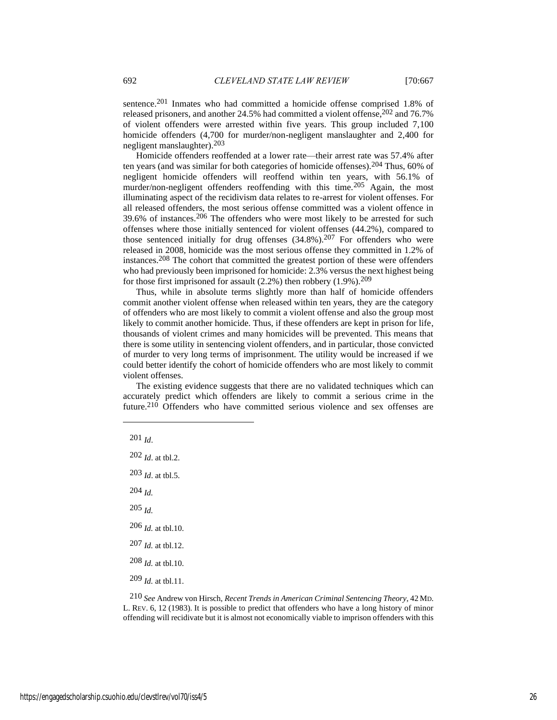sentence.201 Inmates who had committed a homicide offense comprised 1.8% of released prisoners, and another 24.5% had committed a violent offense,  $202$  and 76.7% of violent offenders were arrested within five years. This group included 7,100 homicide offenders (4,700 for murder/non-negligent manslaughter and 2,400 for negligent manslaughter).203

Homicide offenders reoffended at a lower rate—their arrest rate was 57.4% after ten years (and was similar for both categories of homicide offenses).204 Thus, 60% of negligent homicide offenders will reoffend within ten years, with 56.1% of murder/non-negligent offenders reoffending with this time.<sup>205</sup> Again, the most illuminating aspect of the recidivism data relates to re-arrest for violent offenses. For all released offenders, the most serious offense committed was a violent offence in 39.6% of instances.206 The offenders who were most likely to be arrested for such offenses where those initially sentenced for violent offenses (44.2%), compared to those sentenced initially for drug offenses  $(34.8\%)$ .<sup>207</sup> For offenders who were released in 2008, homicide was the most serious offense they committed in 1.2% of instances.208 The cohort that committed the greatest portion of these were offenders who had previously been imprisoned for homicide: 2.3% versus the next highest being for those first imprisoned for assault  $(2.2\%)$  then robbery  $(1.9\%)$ .<sup>209</sup>

Thus, while in absolute terms slightly more than half of homicide offenders commit another violent offense when released within ten years, they are the category of offenders who are most likely to commit a violent offense and also the group most likely to commit another homicide. Thus, if these offenders are kept in prison for life, thousands of violent crimes and many homicides will be prevented. This means that there is some utility in sentencing violent offenders, and in particular, those convicted of murder to very long terms of imprisonment. The utility would be increased if we could better identify the cohort of homicide offenders who are most likely to commit violent offenses.

The existing evidence suggests that there are no validated techniques which can accurately predict which offenders are likely to commit a serious crime in the future.<sup>210</sup> Offenders who have committed serious violence and sex offenses are

201 *Id*.

202 *Id*. at tbl.2.  $203$  *Id.* at tbl.5. 204 *Id.*

205 *Id.*

206 *Id.* at tbl.10.

- 207 *Id.* at tbl.12.
- 208 *Id.* at tbl.10.
- 209 *Id.* at tbl.11.

210 *See* Andrew von Hirsch, *Recent Trends in American Criminal Sentencing Theory*, 42 MD. L. REV. 6, 12 (1983). It is possible to predict that offenders who have a long history of minor offending will recidivate but it is almost not economically viable to imprison offenders with this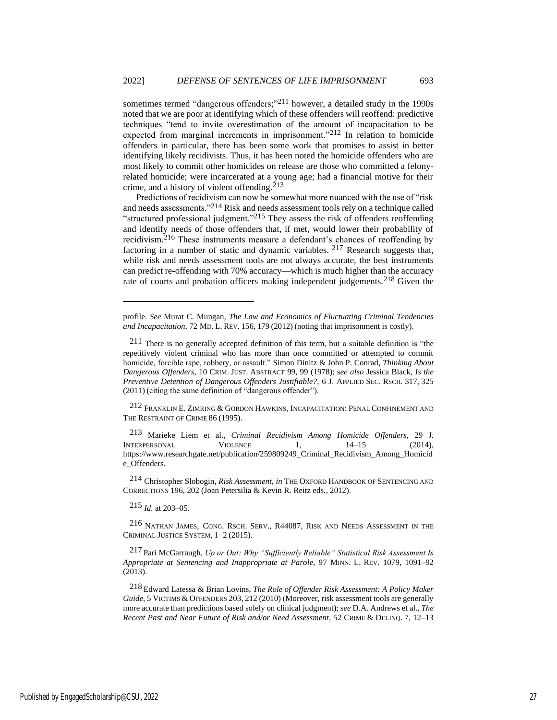sometimes termed "dangerous offenders;"<sup>211</sup> however, a detailed study in the 1990s noted that we are poor at identifying which of these offenders will reoffend: predictive techniques "tend to invite overestimation of the amount of incapacitation to be expected from marginal increments in imprisonment."212 In relation to homicide offenders in particular, there has been some work that promises to assist in better identifying likely recidivists. Thus, it has been noted the homicide offenders who are most likely to commit other homicides on release are those who committed a felonyrelated homicide; were incarcerated at a young age; had a financial motive for their crime, and a history of violent offending.<sup>213</sup>

Predictions of recidivism can now be somewhat more nuanced with the use of "risk and needs assessments."214 Risk and needs assessment tools rely on a technique called "structured professional judgment."215 They assess the risk of offenders reoffending and identify needs of those offenders that, if met, would lower their probability of recidivism.216 These instruments measure a defendant's chances of reoffending by factoring in a number of static and dynamic variables. 217 Research suggests that, while risk and needs assessment tools are not always accurate, the best instruments can predict re-offending with 70% accuracy—which is much higher than the accuracy rate of courts and probation officers making independent judgements.<sup>218</sup> Given the

212 FRANKLIN E. ZIMRING & GORDON HAWKINS, INCAPACITATION: PENAL CONFINEMENT AND THE RESTRAINT OF CRIME 86 (1995).

213 Marieke Liem et al., *Criminal Recidivism Among Homicide Offenders*, 29 J. INTERPERSONAL VIOLENCE 1, 14–15 (2014), https://www.researchgate.net/publication/259809249\_Criminal\_Recidivism\_Among\_Homicid e\_Offenders.

214 Christopher Slobogin, *Risk Assessment*, *in* THE OXFORD HANDBOOK OF SENTENCING AND CORRECTIONS 196, 202 (Joan Petersilia & Kevin R. Reitz eds., 2012).

215 *Id.* at 203–05.

216 NATHAN JAMES, CONG. RSCH. SERV., R44087, RISK AND NEEDS ASSESSMENT IN THE CRIMINAL JUSTICE SYSTEM, 1−2 (2015).

217 Pari McGarraugh, *Up or Out: Why "Sufficiently Reliable" Statistical Risk Assessment Is Appropriate at Sentencing and Inappropriate at Parole*, 97 MINN. L. REV. 1079, 1091–92 (2013).

218 Edward Latessa & Brian Lovins, *The Role of Offender Risk Assessment: A Policy Maker*  Guide, 5 VICTIMS & OFFENDERS 203, 212 (2010) (Moreover, risk assessment tools are generally more accurate than predictions based solely on clinical judgment); s*ee* D.A. Andrews et al., *The Recent Past and Near Future of Risk and/or Need Assessment*, 52 CRIME & DELINQ. 7, 12–13

<span id="page-27-0"></span>profile. *See* Murat C. Mungan, *The Law and Economics of Fluctuating Criminal Tendencies and Incapacitation*, 72 MD. L. REV. 156, 179 (2012) (noting that imprisonment is costly).

<sup>211</sup> There is no generally accepted definition of this term, but a suitable definition is "the repetitively violent criminal who has more than once committed or attempted to commit homicide, forcible rape, robbery, or assault." Simon Dinitz & John P. Conrad, *Thinking About Dangerous Offenders*, 10 CRIM. JUST. ABSTRACT 99, 99 (1978); s*ee also* Jessica Black, *Is the Preventive Detention of Dangerous Offenders Justifiable?*, 6 J. APPLIED SEC. RSCH. 317, 325 (2011) (citing the same definition of "dangerous offender").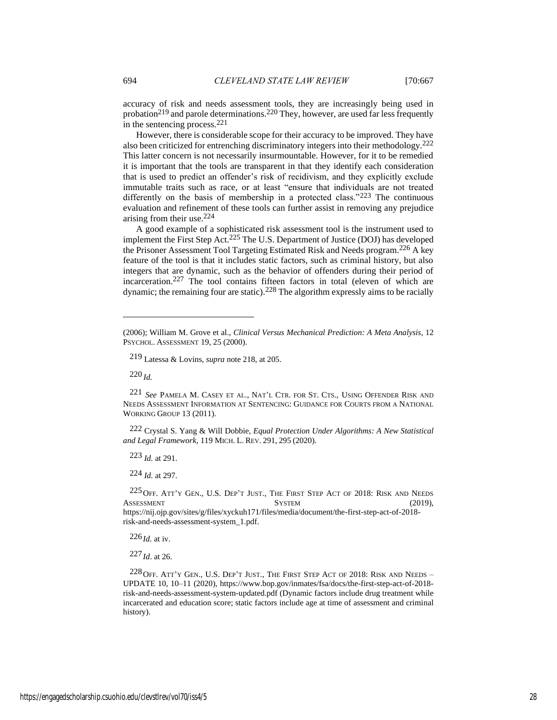accuracy of risk and needs assessment tools, they are increasingly being used in probation<sup>219</sup> and parole determinations.<sup>220</sup> They, however, are used far less frequently in the sentencing process.221

However, there is considerable scope for their accuracy to be improved. They have also been criticized for entrenching discriminatory integers into their methodology.222 This latter concern is not necessarily insurmountable. However, for it to be remedied it is important that the tools are transparent in that they identify each consideration that is used to predict an offender's risk of recidivism, and they explicitly exclude immutable traits such as race, or at least "ensure that individuals are not treated differently on the basis of membership in a protected class."223 The continuous evaluation and refinement of these tools can further assist in removing any prejudice arising from their use.224

<span id="page-28-0"></span>A good example of a sophisticated risk assessment tool is the instrument used to implement the First Step Act.225 The U.S. Department of Justice (DOJ) has developed the Prisoner Assessment Tool Targeting Estimated Risk and Needs program. 226 A key feature of the tool is that it includes static factors, such as criminal history, but also integers that are dynamic, such as the behavior of offenders during their period of incarceration.227 The tool contains fifteen factors in total (eleven of which are dynamic; the remaining four are static).<sup>228</sup> The algorithm expressly aims to be racially

219 Latessa & Lovins, *supra* note [218,](#page-27-0) at 205.

220 *Id.*

221 *See* PAMELA M. CASEY ET AL., NAT'L CTR. FOR ST. CTS., USING OFFENDER RISK AND NEEDS ASSESSMENT INFORMATION AT SENTENCING: GUIDANCE FOR COURTS FROM A NATIONAL WORKING GROUP 13 (2011).

222 Crystal S. Yang & Will Dobbie, *Equal Protection Under Algorithms: A New Statistical and Legal Framework*, 119 MICH. L. REV. 291, 295 (2020).

223 *Id.* at 291.

224 *Id.* at 297.

225OFF. ATT'Y GEN., U.S. DEP'T JUST., THE FIRST STEP ACT OF 2018: RISK AND NEEDS ASSESSMENT SYSTEM SYSTEM (2019), https://nij.ojp.gov/sites/g/files/xyckuh171/files/media/document/the-first-step-act-of-2018 risk-and-needs-assessment-system\_1.pdf.

 $226$  *Id.* at iv.

227 *Id*. at 26.

 $228$  OFF. ATT'Y GEN., U.S. DEP'T JUST., THE FIRST STEP ACT OF 2018: RISK AND NEEDS – UPDATE 10, 10–11 (2020), https://www.bop.gov/inmates/fsa/docs/the-first-step-act-of-2018 risk-and-needs-assessment-system-updated.pdf (Dynamic factors include drug treatment while incarcerated and education score; static factors include age at time of assessment and criminal history).

<sup>(2006);</sup> William M. Grove et al., *Clinical Versus Mechanical Prediction: A Meta Analysis*, 12 PSYCHOL. ASSESSMENT 19, 25 (2000).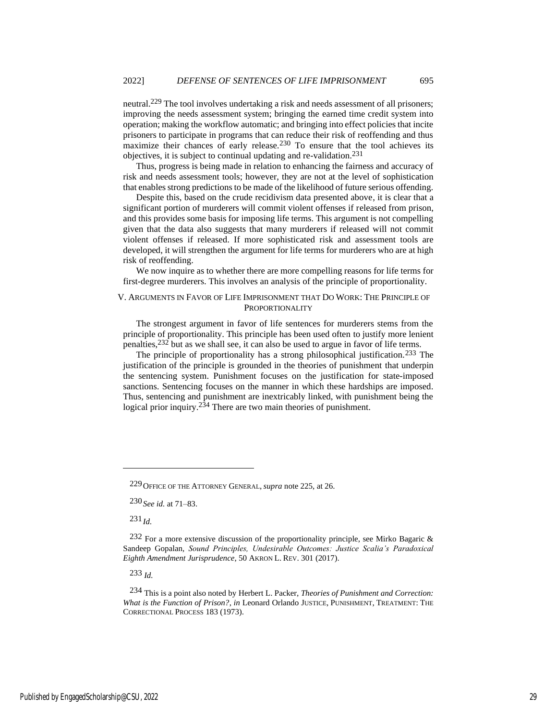neutral.229 The tool involves undertaking a risk and needs assessment of all prisoners; improving the needs assessment system; bringing the earned time credit system into operation; making the workflow automatic; and bringing into effect policies that incite prisoners to participate in programs that can reduce their risk of reoffending and thus maximize their chances of early release.230 To ensure that the tool achieves its objectives, it is subject to continual updating and re-validation.231

Thus, progress is being made in relation to enhancing the fairness and accuracy of risk and needs assessment tools; however, they are not at the level of sophistication that enables strong predictions to be made of the likelihood of future serious offending.

Despite this, based on the crude recidivism data presented above, it is clear that a significant portion of murderers will commit violent offenses if released from prison, and this provides some basis for imposing life terms. This argument is not compelling given that the data also suggests that many murderers if released will not commit violent offenses if released. If more sophisticated risk and assessment tools are developed, it will strengthen the argument for life terms for murderers who are at high risk of reoffending.

We now inquire as to whether there are more compelling reasons for life terms for first-degree murderers. This involves an analysis of the principle of proportionality.

## V. ARGUMENTS IN FAVOR OF LIFE IMPRISONMENT THAT DO WORK: THE PRINCIPLE OF **PROPORTIONALITY**

The strongest argument in favor of life sentences for murderers stems from the principle of proportionality. This principle has been used often to justify more lenient penalties,232 but as we shall see, it can also be used to argue in favor of life terms.

The principle of proportionality has a strong philosophical justification.<sup>233</sup> The justification of the principle is grounded in the theories of punishment that underpin the sentencing system. Punishment focuses on the justification for state-imposed sanctions. Sentencing focuses on the manner in which these hardships are imposed. Thus, sentencing and punishment are inextricably linked, with punishment being the logical prior inquiry.<sup>234</sup> There are two main theories of punishment.

231 *Id.*

<sup>229</sup>OFFICE OF THE ATTORNEY GENERAL, *supra* not[e 225,](#page-28-0) at 26.

<sup>230</sup> *See id.* at 71–83.

 $232$  For a more extensive discussion of the proportionality principle, see Mirko Bagaric & Sandeep Gopalan, *Sound Principles, Undesirable Outcomes: Justice Scalia's Paradoxical Eighth Amendment Jurisprudence*, 50 AKRON L. REV. 301 (2017).

<sup>234</sup> This is a point also noted by Herbert L. Packer, *Theories of Punishment and Correction: What is the Function of Prison?*, *in* Leonard Orlando JUSTICE, PUNISHMENT, TREATMENT: THE CORRECTIONAL PROCESS 183 (1973).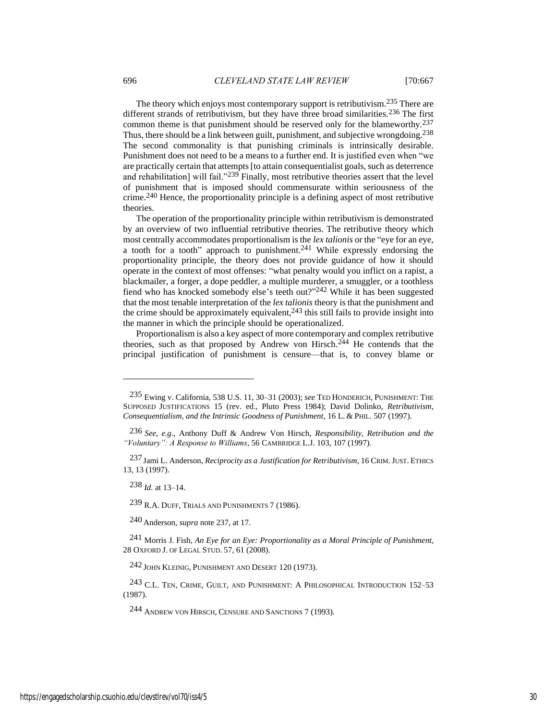<span id="page-30-0"></span>The theory which enjoys most contemporary support is retributivism.235 There are different strands of retributivism, but they have three broad similarities.<sup>236</sup> The first common theme is that punishment should be reserved only for the blameworthy.237 Thus, there should be a link between guilt, punishment, and subjective wrongdoing.<sup>238</sup> The second commonality is that punishing criminals is intrinsically desirable. Punishment does not need to be a means to a further end. It is justified even when "we are practically certain that attempts [to attain consequentialist goals, such as deterrence and rehabilitation] will fail."<sup>239</sup> Finally, most retributive theories assert that the level of punishment that is imposed should commensurate within seriousness of the crime.240 Hence, the proportionality principle is a defining aspect of most retributive theories.

The operation of the proportionality principle within retributivism is demonstrated by an overview of two influential retributive theories. The retributive theory which most centrally accommodates proportionalism is the *lex talionis* or the "eye for an eye, a tooth for a tooth" approach to punishment.241 While expressly endorsing the proportionality principle, the theory does not provide guidance of how it should operate in the context of most offenses: "what penalty would you inflict on a rapist, a blackmailer, a forger, a dope peddler, a multiple murderer, a smuggler, or a toothless fiend who has knocked somebody else's teeth out?" 242 While it has been suggested that the most tenable interpretation of the *lex talionis* theory is that the punishment and the crime should be approximately equivalent,  $243$  this still fails to provide insight into the manner in which the principle should be operationalized.

Proportionalism is also a key aspect of more contemporary and complex retributive theories, such as that proposed by Andrew von Hirsch.<sup>244</sup> He contends that the principal justification of punishment is censure—that is, to convey blame or

238 *Id.* at 13–14.

239 R.A. DUFF, TRIALS AND PUNISHMENTS 7 (1986).

240 Anderson, *supra* not[e 237,](#page-30-0) at 17.

241 Morris J. Fish, *An Eye for an Eye: Proportionality as a Moral Principle of Punishment*, 28 OXFORD J. OF LEGAL STUD. 57, 61 (2008).

242 JOHN KLEINIG, PUNISHMENT AND DESERT 120 (1973).

<sup>243</sup> C.L. TEN, CRIME, GUILT, AND PUNISHMENT: A PHILOSOPHICAL INTRODUCTION 152-53 (1987).

244 ANDREW VON HIRSCH, CENSURE AND SANCTIONS 7 (1993).

<sup>235</sup> Ewing v. California, 538 U.S. 11, 30–31 (2003); *see* TED HONDERICH, PUNISHMENT: THE SUPPOSED JUSTIFICATIONS 15 (rev. ed., Pluto Press 1984); David Dolinko, *Retributivism, Consequentialism, and the Intrinsic Goodness of Punishment*, 16 L. & PHIL. 507 (1997).

<sup>236</sup> *See, e.g.*, Anthony Duff & Andrew Von Hirsch, *Responsibility, Retribution and the "Voluntary": A Response to Williams*, 56 CAMBRIDGE L.J. 103, 107 (1997).

<sup>237</sup> Jami L. Anderson, *Reciprocity as a Justification for Retributivism*, 16 CRIM.JUST. ETHICS 13, 13 (1997).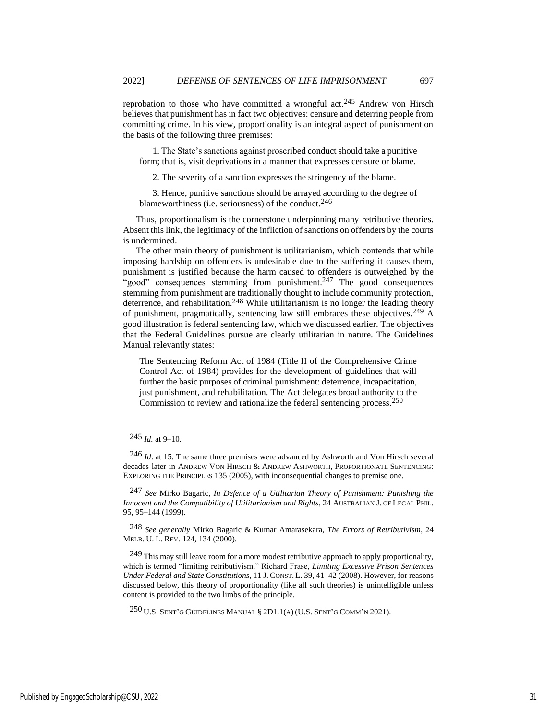reprobation to those who have committed a wrongful act.<sup>245</sup> Andrew von Hirsch believes that punishment has in fact two objectives: censure and deterring people from committing crime. In his view, proportionality is an integral aspect of punishment on the basis of the following three premises:

1. The State's sanctions against proscribed conduct should take a punitive form; that is, visit deprivations in a manner that expresses censure or blame.

2. The severity of a sanction expresses the stringency of the blame.

3. Hence, punitive sanctions should be arrayed according to the degree of blameworthiness (i.e. seriousness) of the conduct.<sup>246</sup>

Thus, proportionalism is the cornerstone underpinning many retributive theories. Absent this link, the legitimacy of the infliction of sanctions on offenders by the courts is undermined.

The other main theory of punishment is utilitarianism, which contends that while imposing hardship on offenders is undesirable due to the suffering it causes them, punishment is justified because the harm caused to offenders is outweighed by the "good" consequences stemming from punishment. $247$  The good consequences stemming from punishment are traditionally thought to include community protection, deterrence, and rehabilitation.<sup>248</sup> While utilitarianism is no longer the leading theory of punishment, pragmatically, sentencing law still embraces these objectives.249 A good illustration is federal sentencing law, which we discussed earlier. The objectives that the Federal Guidelines pursue are clearly utilitarian in nature. The Guidelines Manual relevantly states:

<span id="page-31-0"></span>The Sentencing Reform Act of 1984 (Title II of the Comprehensive Crime Control Act of 1984) provides for the development of guidelines that will further the basic purposes of criminal punishment: deterrence, incapacitation, just punishment, and rehabilitation. The Act delegates broad authority to the Commission to review and rationalize the federal sentencing process.250

246 *Id*. at 15. The same three premises were advanced by Ashworth and Von Hirsch several decades later in ANDREW VON HIRSCH & ANDREW ASHWORTH, PROPORTIONATE SENTENCING: EXPLORING THE PRINCIPLES 135 (2005), with inconsequential changes to premise one.

247 *See* Mirko Bagaric, *In Defence of a Utilitarian Theory of Punishment: Punishing the Innocent and the Compatibility of Utilitarianism and Rights*, 24 AUSTRALIAN J. OF LEGAL PHIL. 95, 95–144 (1999).

248 *See generally* Mirko Bagaric & Kumar Amarasekara, *The Errors of Retributivism*, 24 MELB. U. L. REV. 124, 134 (2000).

<sup>249</sup> This may still leave room for a more modest retributive approach to apply proportionality, which is termed "limiting retributivism." Richard Frase, *Limiting Excessive Prison Sentences Under Federal and State Constitutions*, 11 J. CONST. L. 39, 41–42 (2008). However, for reasons discussed below, this theory of proportionality (like all such theories) is unintelligible unless content is provided to the two limbs of the principle.

 $250$  U.S. SENT'G GUIDELINES MANUAL § 2D1.1(A) (U.S. SENT'G COMM'N 2021).

<sup>245</sup> *Id.* at 9–10.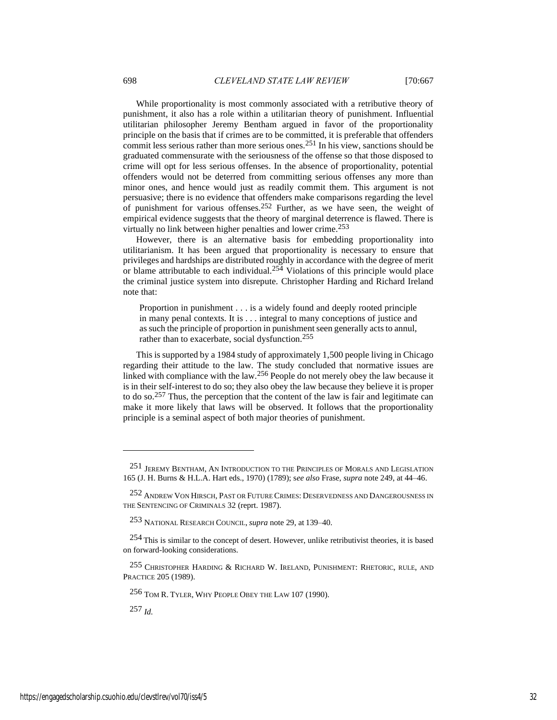While proportionality is most commonly associated with a retributive theory of punishment, it also has a role within a utilitarian theory of punishment. Influential utilitarian philosopher Jeremy Bentham argued in favor of the proportionality principle on the basis that if crimes are to be committed, it is preferable that offenders commit less serious rather than more serious ones.251 In his view, sanctions should be graduated commensurate with the seriousness of the offense so that those disposed to crime will opt for less serious offenses. In the absence of proportionality, potential offenders would not be deterred from committing serious offenses any more than minor ones, and hence would just as readily commit them. This argument is not persuasive; there is no evidence that offenders make comparisons regarding the level of punishment for various offenses.252 Further, as we have seen, the weight of empirical evidence suggests that the theory of marginal deterrence is flawed. There is virtually no link between higher penalties and lower crime.253

However, there is an alternative basis for embedding proportionality into utilitarianism. It has been argued that proportionality is necessary to ensure that privileges and hardships are distributed roughly in accordance with the degree of merit or blame attributable to each individual.<sup>254</sup> Violations of this principle would place the criminal justice system into disrepute. Christopher Harding and Richard Ireland note that:

Proportion in punishment . . . is a widely found and deeply rooted principle in many penal contexts. It is . . . integral to many conceptions of justice and as such the principle of proportion in punishment seen generally acts to annul, rather than to exacerbate, social dysfunction.<sup>255</sup>

This is supported by a 1984 study of approximately 1,500 people living in Chicago regarding their attitude to the law. The study concluded that normative issues are linked with compliance with the law.256 People do not merely obey the law because it is in their self-interest to do so; they also obey the law because they believe it is proper to do so.257 Thus, the perception that the content of the law is fair and legitimate can make it more likely that laws will be observed. It follows that the proportionality principle is a seminal aspect of both major theories of punishment.

256 TOM R. TYLER, WHY PEOPLE OBEY THE LAW 107 (1990).

<sup>251</sup> JEREMY BENTHAM, AN INTRODUCTION TO THE PRINCIPLES OF MORALS AND LEGISLATION 165 (J. H. Burns & H.L.A. Hart eds., 1970) (1789); s*ee also* Frase, *supra* note [249,](#page-31-0) at 44–46.

<sup>252</sup> ANDREW VON HIRSCH, PAST OR FUTURE CRIMES: DESERVEDNESS AND DANGEROUSNESS IN THE SENTENCING OF CRIMINALS 32 (reprt. 1987).

<sup>253</sup> NATIONAL RESEARCH COUNCIL, *supra* not[e 29,](#page-6-0) at 139–40.

<sup>254</sup> This is similar to the concept of desert. However, unlike retributivist theories, it is based on forward-looking considerations.

<sup>255</sup> CHRISTOPHER HARDING & RICHARD W. IRELAND, PUNISHMENT: RHETORIC, RULE, AND PRACTICE 205 (1989).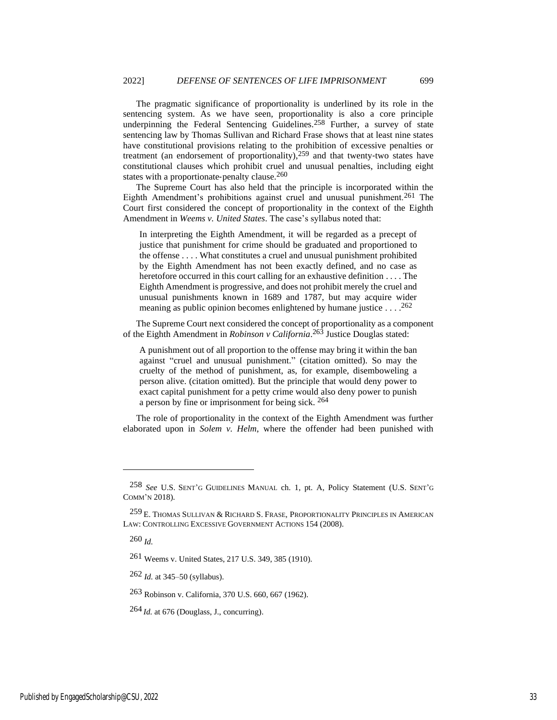The pragmatic significance of proportionality is underlined by its role in the sentencing system. As we have seen, proportionality is also a core principle underpinning the Federal Sentencing Guidelines. 258 Further, a survey of state sentencing law by Thomas Sullivan and Richard Frase shows that at least nine states have constitutional provisions relating to the prohibition of excessive penalties or treatment (an endorsement of proportionality),<sup>259</sup> and that twenty-two states have constitutional clauses which prohibit cruel and unusual penalties, including eight states with a proportionate-penalty clause.<sup>260</sup>

The Supreme Court has also held that the principle is incorporated within the Eighth Amendment's prohibitions against cruel and unusual punishment.261 The Court first considered the concept of proportionality in the context of the Eighth Amendment in *Weems v. United States*. The case's syllabus noted that:

In interpreting the Eighth Amendment, it will be regarded as a precept of justice that punishment for crime should be graduated and proportioned to the offense . . . . What constitutes a cruel and unusual punishment prohibited by the Eighth Amendment has not been exactly defined, and no case as heretofore occurred in this court calling for an exhaustive definition . . . . The Eighth Amendment is progressive, and does not prohibit merely the cruel and unusual punishments known in 1689 and 1787, but may acquire wider meaning as public opinion becomes enlightened by humane justice . . . . 262

The Supreme Court next considered the concept of proportionality as a component of the Eighth Amendment in *Robinson v California*. 263 Justice Douglas stated:

A punishment out of all proportion to the offense may bring it within the ban against "cruel and unusual punishment." (citation omitted). So may the cruelty of the method of punishment, as, for example, disemboweling a person alive. (citation omitted). But the principle that would deny power to exact capital punishment for a petty crime would also deny power to punish a person by fine or imprisonment for being sick. 264

The role of proportionality in the context of the Eighth Amendment was further elaborated upon in *Solem v. Helm*, where the offender had been punished with

260 *Id.*

261 Weems v. United States, 217 U.S. 349, 385 (1910).

262 *Id.* at 345–50 (syllabus).

263 Robinson v. California, 370 U.S. 660, 667 (1962).

 $264$  *Id.* at 676 (Douglass, J., concurring).

<sup>258</sup> *See* U.S. SENT'G GUIDELINES MANUAL ch. 1, pt. A, Policy Statement (U.S. SENT'<sup>G</sup> COMM'N 2018).

<sup>259</sup> E. THOMAS SULLIVAN & RICHARD S. FRASE, PROPORTIONALITY PRINCIPLES IN AMERICAN LAW: CONTROLLING EXCESSIVE GOVERNMENT ACTIONS 154 (2008).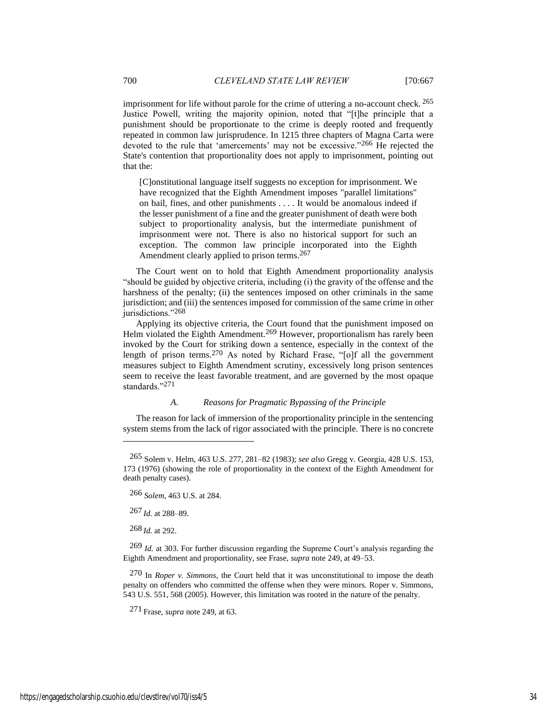imprisonment for life without parole for the crime of uttering a no-account check. 265 Justice Powell, writing the majority opinion, noted that "[t]he principle that a punishment should be proportionate to the crime is deeply rooted and frequently repeated in common law jurisprudence. In 1215 three chapters of Magna Carta were devoted to the rule that 'amercements' may not be excessive."266 He rejected the State's contention that proportionality does not apply to imprisonment, pointing out that the:

[C]onstitutional language itself suggests no exception for imprisonment. We have recognized that the Eighth Amendment imposes "parallel limitations" on bail, fines, and other punishments . . . . It would be anomalous indeed if the lesser punishment of a fine and the greater punishment of death were both subject to proportionality analysis, but the intermediate punishment of imprisonment were not. There is also no historical support for such an exception. The common law principle incorporated into the Eighth Amendment clearly applied to prison terms.<sup>267</sup>

The Court went on to hold that Eighth Amendment proportionality analysis "should be guided by objective criteria, including (i) the gravity of the offense and the harshness of the penalty; (ii) the sentences imposed on other criminals in the same jurisdiction; and (iii) the sentences imposed for commission of the same crime in other jurisdictions."268

Applying its objective criteria, the Court found that the punishment imposed on Helm violated the Eighth Amendment.<sup>269</sup> However, proportionalism has rarely been invoked by the Court for striking down a sentence, especially in the context of the length of prison terms.270 As noted by Richard Frase, "[o]f all the government measures subject to Eighth Amendment scrutiny, excessively long prison sentences seem to receive the least favorable treatment, and are governed by the most opaque standards."271

#### *A. Reasons for Pragmatic Bypassing of the Principle*

The reason for lack of immersion of the proportionality principle in the sentencing system stems from the lack of rigor associated with the principle. There is no concrete

268 *Id.* at 292.

269 *Id.* at 303. For further discussion regarding the Supreme Court's analysis regarding the Eighth Amendment and proportionality, see Frase, *supra* note [249,](#page-31-0) at 49–53.

270 In *Roper v. Simmons*, the Court held that it was unconstitutional to impose the death penalty on offenders who committed the offense when they were minors. Roper v. Simmons, 543 U.S. 551, 568 (2005). However, this limitation was rooted in the nature of the penalty.

271 Frase, *supra* not[e 249,](#page-31-0) at 63.

<sup>265</sup> Solem v. Helm, 463 U.S. 277, 281–82 (1983); *see also* Gregg v. Georgia, 428 U.S. 153, 173 (1976) (showing the role of proportionality in the context of the Eighth Amendment for death penalty cases).

<sup>266</sup> *Solem*, 463 U.S. at 284.

<sup>267</sup> *Id.* at 288–89.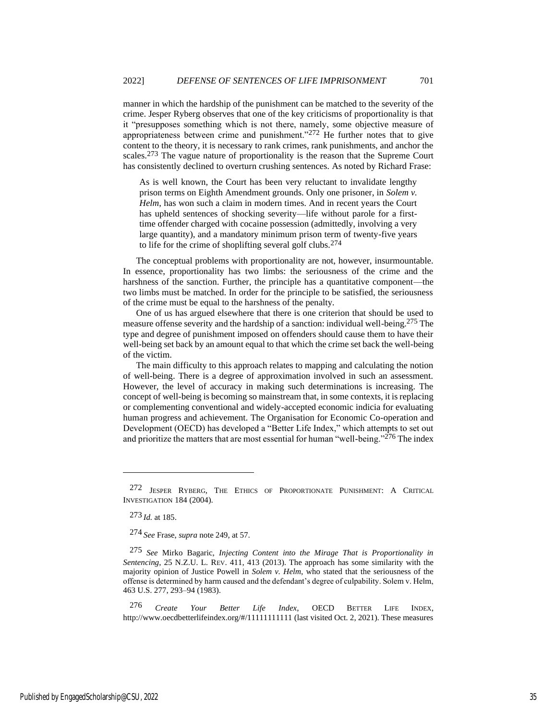manner in which the hardship of the punishment can be matched to the severity of the crime. Jesper Ryberg observes that one of the key criticisms of proportionality is that it "presupposes something which is not there, namely, some objective measure of appropriateness between crime and punishment."272 He further notes that to give content to the theory, it is necessary to rank crimes, rank punishments, and anchor the scales.273 The vague nature of proportionality is the reason that the Supreme Court has consistently declined to overturn crushing sentences. As noted by Richard Frase:

<span id="page-35-0"></span>As is well known, the Court has been very reluctant to invalidate lengthy prison terms on Eighth Amendment grounds. Only one prisoner, in *Solem v. Helm*, has won such a claim in modern times. And in recent years the Court has upheld sentences of shocking severity—life without parole for a firsttime offender charged with cocaine possession (admittedly, involving a very large quantity), and a mandatory minimum prison term of twenty-five years to life for the crime of shoplifting several golf clubs.274

The conceptual problems with proportionality are not, however, insurmountable. In essence, proportionality has two limbs: the seriousness of the crime and the harshness of the sanction. Further, the principle has a quantitative component—the two limbs must be matched. In order for the principle to be satisfied, the seriousness of the crime must be equal to the harshness of the penalty.

One of us has argued elsewhere that there is one criterion that should be used to measure offense severity and the hardship of a sanction: individual well-being.275 The type and degree of punishment imposed on offenders should cause them to have their well-being set back by an amount equal to that which the crime set back the well-being of the victim.

The main difficulty to this approach relates to mapping and calculating the notion of well-being. There is a degree of approximation involved in such an assessment. However, the level of accuracy in making such determinations is increasing. The concept of well-being is becoming so mainstream that, in some contexts, it is replacing or complementing conventional and widely-accepted economic indicia for evaluating human progress and achievement. The Organisation for Economic Co-operation and Development (OECD) has developed a "Better Life Index," which attempts to set out and prioritize the matters that are most essential for human "well-being."276 The index

276 *Create Your Better Life Index*, OECD BETTER LIFE INDEX, http://www.oecdbetterlifeindex.org/#/11111111111 (last visited Oct. 2, 2021). These measures

<sup>272</sup> JESPER RYBERG, THE ETHICS OF PROPORTIONATE PUNISHMENT: A CRITICAL INVESTIGATION 184 (2004).

<sup>273</sup> *Id.* at 185.

<sup>274</sup> *See* Frase, *supra* note [249,](#page-31-0) at 57.

<sup>275</sup> *See* Mirko Bagaric, *Injecting Content into the Mirage That is Proportionality in Sentencing*, 25 N.Z.U. L. REV. 411, 413 (2013). The approach has some similarity with the majority opinion of Justice Powell in *Solem v. Helm*, who stated that the seriousness of the offense is determined by harm caused and the defendant's degree of culpability. Solem v. Helm, 463 U.S. 277, 293–94 (1983).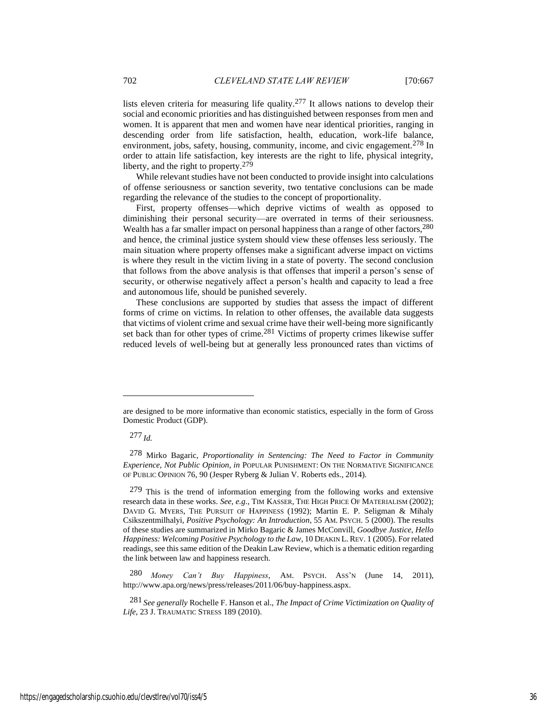lists eleven criteria for measuring life quality.<sup>277</sup> It allows nations to develop their social and economic priorities and has distinguished between responses from men and women. It is apparent that men and women have near identical priorities, ranging in descending order from life satisfaction, health, education, work-life balance, environment, jobs, safety, housing, community, income, and civic engagement.<sup>278</sup> In order to attain life satisfaction, key interests are the right to life, physical integrity, liberty, and the right to property.279

While relevant studies have not been conducted to provide insight into calculations of offense seriousness or sanction severity, two tentative conclusions can be made regarding the relevance of the studies to the concept of proportionality.

First, property offenses—which deprive victims of wealth as opposed to diminishing their personal security—are overrated in terms of their seriousness. Wealth has a far smaller impact on personal happiness than a range of other factors, <sup>280</sup> and hence, the criminal justice system should view these offenses less seriously. The main situation where property offenses make a significant adverse impact on victims is where they result in the victim living in a state of poverty. The second conclusion that follows from the above analysis is that offenses that imperil a person's sense of security, or otherwise negatively affect a person's health and capacity to lead a free and autonomous life, should be punished severely.

These conclusions are supported by studies that assess the impact of different forms of crime on victims. In relation to other offenses, the available data suggests that victims of violent crime and sexual crime have their well-being more significantly set back than for other types of crime.<sup>281</sup> Victims of property crimes likewise suffer reduced levels of well-being but at generally less pronounced rates than victims of

are designed to be more informative than economic statistics, especially in the form of Gross Domestic Product (GDP).

<sup>277</sup> *Id.*

<sup>278</sup> Mirko Bagaric, *Proportionality in Sentencing: The Need to Factor in Community Experience, Not Public Opinion*, *in* POPULAR PUNISHMENT: ON THE NORMATIVE SIGNIFICANCE OF PUBLIC OPINION 76, 90 (Jesper Ryberg & Julian V. Roberts eds., 2014).

<sup>279</sup> This is the trend of information emerging from the following works and extensive research data in these works. *See, e.g*., TIM KASSER, THE HIGH PRICE OF MATERIALISM (2002); DAVID G. MYERS, THE PURSUIT OF HAPPINESS (1992); Martin E. P. Seligman & Mihaly Csikszentmilhalyi, *Positive Psychology: An Introduction*, 55 AM. PSYCH. 5 (2000). The results of these studies are summarized in Mirko Bagaric & James McConvill, *Goodbye Justice, Hello Happiness: Welcoming Positive Psychology to the Law*, 10 DEAKIN L.REV. 1 (2005). For related readings, see this same edition of the Deakin Law Review, which is a thematic edition regarding the link between law and happiness research.

<sup>280</sup> *Money Can't Buy Happiness*, AM. PSYCH. ASS'N (June 14, 2011), http://www.apa.org/news/press/releases/2011/06/buy-happiness.aspx.

<sup>281</sup> *See generally* Rochelle F. Hanson et al., *The Impact of Crime Victimization on Quality of Life*, 23 J. TRAUMATIC STRESS 189 (2010).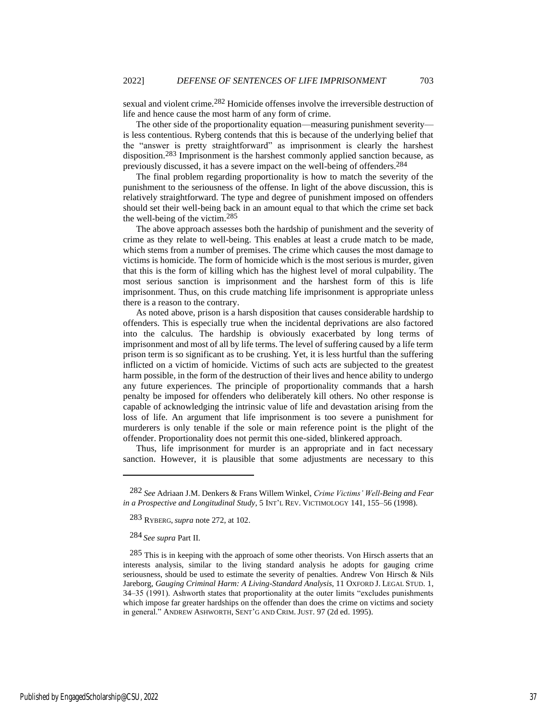sexual and violent crime.282 Homicide offenses involve the irreversible destruction of life and hence cause the most harm of any form of crime.

The other side of the proportionality equation—measuring punishment severity is less contentious. Ryberg contends that this is because of the underlying belief that the "answer is pretty straightforward" as imprisonment is clearly the harshest disposition.283 Imprisonment is the harshest commonly applied sanction because, as previously discussed, it has a severe impact on the well-being of offenders.284

The final problem regarding proportionality is how to match the severity of the punishment to the seriousness of the offense. In light of the above discussion, this is relatively straightforward. The type and degree of punishment imposed on offenders should set their well-being back in an amount equal to that which the crime set back the well-being of the victim.285

The above approach assesses both the hardship of punishment and the severity of crime as they relate to well-being. This enables at least a crude match to be made, which stems from a number of premises. The crime which causes the most damage to victims is homicide. The form of homicide which is the most serious is murder, given that this is the form of killing which has the highest level of moral culpability. The most serious sanction is imprisonment and the harshest form of this is life imprisonment. Thus, on this crude matching life imprisonment is appropriate unless there is a reason to the contrary.

As noted above, prison is a harsh disposition that causes considerable hardship to offenders. This is especially true when the incidental deprivations are also factored into the calculus. The hardship is obviously exacerbated by long terms of imprisonment and most of all by life terms. The level of suffering caused by a life term prison term is so significant as to be crushing. Yet, it is less hurtful than the suffering inflicted on a victim of homicide. Victims of such acts are subjected to the greatest harm possible, in the form of the destruction of their lives and hence ability to undergo any future experiences. The principle of proportionality commands that a harsh penalty be imposed for offenders who deliberately kill others. No other response is capable of acknowledging the intrinsic value of life and devastation arising from the loss of life. An argument that life imprisonment is too severe a punishment for murderers is only tenable if the sole or main reference point is the plight of the offender. Proportionality does not permit this one-sided, blinkered approach.

Thus, life imprisonment for murder is an appropriate and in fact necessary sanction. However, it is plausible that some adjustments are necessary to this

284 *See supra* Part II.

<sup>282</sup> *See* Adriaan J.M. Denkers & Frans Willem Winkel, *Crime Victims' Well-Being and Fear in a Prospective and Longitudinal Study*, 5 INT'L REV. VICTIMOLOGY 141, 155–56 (1998).

<sup>283</sup> RYBERG, *supra* not[e 272,](#page-35-0) at 102.

<sup>285</sup> This is in keeping with the approach of some other theorists. Von Hirsch asserts that an interests analysis, similar to the living standard analysis he adopts for gauging crime seriousness, should be used to estimate the severity of penalties. Andrew Von Hirsch & Nils Jareborg, *Gauging Criminal Harm: A Living-Standard Analysis*, 11 OXFORD J. LEGAL STUD. 1, 34–35 (1991). Ashworth states that proportionality at the outer limits "excludes punishments which impose far greater hardships on the offender than does the crime on victims and society in general." ANDREW ASHWORTH, SENT'G AND CRIM. JUST. 97 (2d ed. 1995).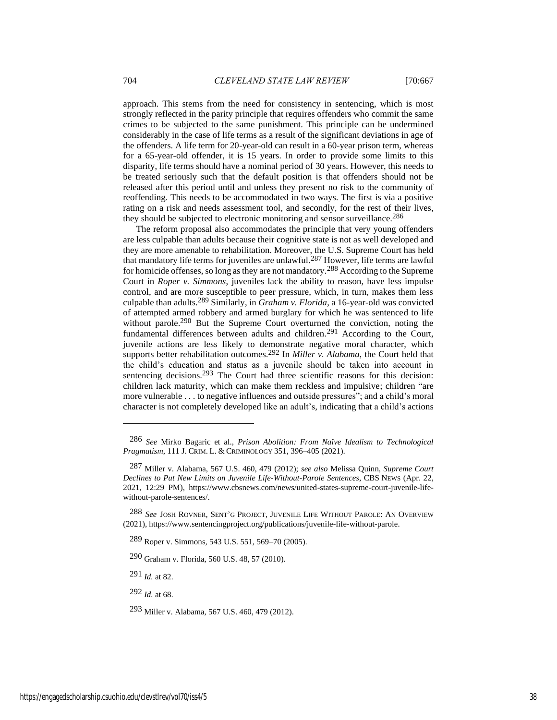approach. This stems from the need for consistency in sentencing, which is most strongly reflected in the parity principle that requires offenders who commit the same crimes to be subjected to the same punishment. This principle can be undermined considerably in the case of life terms as a result of the significant deviations in age of the offenders. A life term for 20-year-old can result in a 60-year prison term, whereas for a 65-year-old offender, it is 15 years. In order to provide some limits to this disparity, life terms should have a nominal period of 30 years. However, this needs to be treated seriously such that the default position is that offenders should not be released after this period until and unless they present no risk to the community of reoffending. This needs to be accommodated in two ways. The first is via a positive rating on a risk and needs assessment tool, and secondly, for the rest of their lives, they should be subjected to electronic monitoring and sensor surveillance.<sup>286</sup>

The reform proposal also accommodates the principle that very young offenders are less culpable than adults because their cognitive state is not as well developed and they are more amenable to rehabilitation. Moreover, the U.S. Supreme Court has held that mandatory life terms for juveniles are unlawful.287 However, life terms are lawful for homicide offenses, so long as they are not mandatory.288 According to the Supreme Court in *Roper v. Simmons*, juveniles lack the ability to reason, have less impulse control, and are more susceptible to peer pressure, which, in turn, makes them less culpable than adults.289 Similarly, in *Graham v. Florida*, a 16-year-old was convicted of attempted armed robbery and armed burglary for which he was sentenced to life without parole.<sup>290</sup> But the Supreme Court overturned the conviction, noting the fundamental differences between adults and children.291 According to the Court, juvenile actions are less likely to demonstrate negative moral character, which supports better rehabilitation outcomes.<sup>292</sup> In *Miller v. Alabama*, the Court held that the child's education and status as a juvenile should be taken into account in sentencing decisions.<sup>293</sup> The Court had three scientific reasons for this decision: children lack maturity, which can make them reckless and impulsive; children "are more vulnerable . . . to negative influences and outside pressures"; and a child's moral character is not completely developed like an adult's, indicating that a child's actions

291 *Id.* at 82.

292 *Id.* at 68.

<sup>286</sup> *See* Mirko Bagaric et al., *Prison Abolition: From Naïve Idealism to Technological Pragmatism*, 111 J. CRIM. L. & CRIMINOLOGY 351, 396–405 (2021).

<sup>287</sup> Miller v. Alabama, 567 U.S. 460, 479 (2012); *see also* Melissa Quinn, *Supreme Court Declines to Put New Limits on Juvenile Life-Without-Parole Sentences*, CBS NEWS (Apr. 22, 2021, 12:29 PM), https://www.cbsnews.com/news/united-states-supreme-court-juvenile-lifewithout-parole-sentences/.

<sup>288</sup> *See* JOSH ROVNER, SENT'G PROJECT, JUVENILE LIFE WITHOUT PAROLE: AN OVERVIEW (2021), https://www.sentencingproject.org/publications/juvenile-life-without-parole.

<sup>289</sup> Roper v. Simmons, 543 U.S. 551, 569–70 (2005).

<sup>290</sup> Graham v. Florida, 560 U.S. 48, 57 (2010).

<sup>293</sup> Miller v. Alabama, 567 U.S. 460, 479 (2012).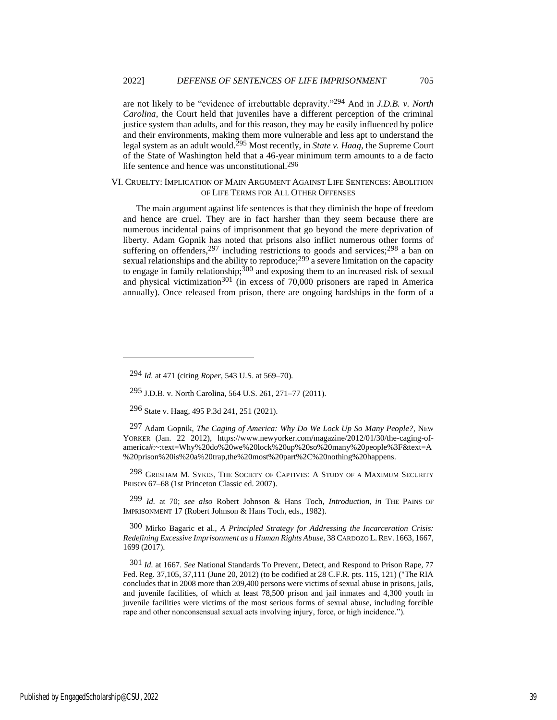are not likely to be "evidence of irrebuttable depravity."294 And in *J.D.B. v. North Carolina*, the Court held that juveniles have a different perception of the criminal justice system than adults, and for this reason, they may be easily influenced by police and their environments, making them more vulnerable and less apt to understand the legal system as an adult would.295 Most recently, in *State v. Haag*, the Supreme Court of the State of Washington held that a 46-year minimum term amounts to a de facto life sentence and hence was unconstitutional.296

## VI. CRUELTY: IMPLICATION OF MAIN ARGUMENT AGAINST LIFE SENTENCES: ABOLITION OF LIFE TERMS FOR ALL OTHER OFFENSES

The main argument against life sentences is that they diminish the hope of freedom and hence are cruel. They are in fact harsher than they seem because there are numerous incidental pains of imprisonment that go beyond the mere deprivation of liberty. Adam Gopnik has noted that prisons also inflict numerous other forms of suffering on offenders,  $297$  including restrictions to goods and services;  $298$  a ban on sexual relationships and the ability to reproduce;<sup>299</sup> a severe limitation on the capacity to engage in family relationship;  $300$  and exposing them to an increased risk of sexual and physical victimization<sup>301</sup> (in excess of 70,000 prisoners are raped in America annually). Once released from prison, there are ongoing hardships in the form of a

298 GRESHAM M. SYKES, THE SOCIETY OF CAPTIVES: A STUDY OF A MAXIMUM SECURITY PRISON 67–68 (1st Princeton Classic ed. 2007).

299 *Id.* at 70; *see also* Robert Johnson & Hans Toch, *Introduction*, *in* THE PAINS OF IMPRISONMENT 17 (Robert Johnson & Hans Toch, eds., 1982).

300 Mirko Bagaric et al., *A Principled Strategy for Addressing the Incarceration Crisis: Redefining Excessive Imprisonment as a Human Rights Abuse*, 38 CARDOZO L.REV. 1663, 1667, 1699 (2017).

301 *Id.* at 1667. *See* National Standards To Prevent, Detect, and Respond to Prison Rape, 77 Fed. Reg. 37,105, 37,111 (June 20, 2012) (to be codified at 28 C.F.R. pts. 115, 121) ("The RIA concludes that in 2008 more than 209,400 persons were victims of sexual abuse in prisons, jails, and juvenile facilities, of which at least 78,500 prison and jail inmates and 4,300 youth in juvenile facilities were victims of the most serious forms of sexual abuse, including forcible rape and other nonconsensual sexual acts involving injury, force, or high incidence.").

<sup>294</sup> *Id.* at 471 (citing *Roper*, 543 U.S. at 569–70).

<sup>295</sup> J.D.B. v. North Carolina, 564 U.S. 261, 271–77 (2011).

<sup>296</sup> State v. Haag, 495 P.3d 241, 251 (2021).

<sup>297</sup> Adam Gopnik, *The Caging of America: Why Do We Lock Up So Many People?*, NEW YORKER (Jan. 22 2012), https://www.newyorker.com/magazine/2012/01/30/the-caging-ofamerica#:~:text=Why%20do%20we%20lock%20up%20so%20many%20people%3F&text=A %20prison%20is%20a%20trap,the%20most%20part%2C%20nothing%20happens.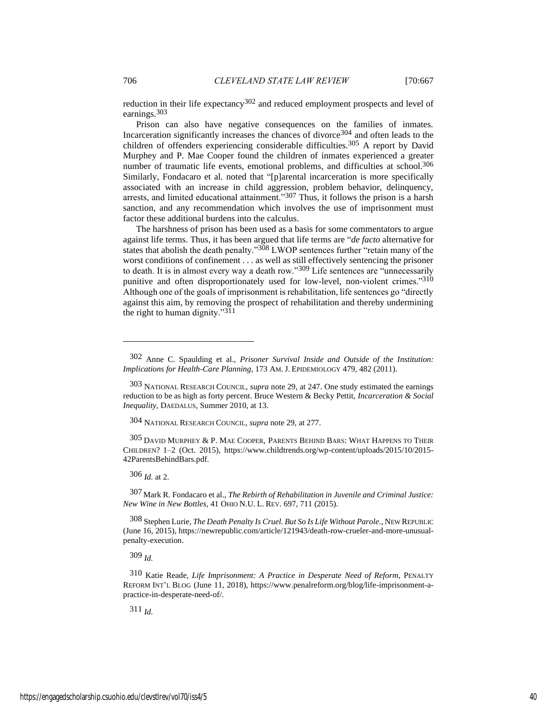reduction in their life expectancy<sup>302</sup> and reduced employment prospects and level of earnings.303

Prison can also have negative consequences on the families of inmates. Incarceration significantly increases the chances of divorce304 and often leads to the children of offenders experiencing considerable difficulties.<sup>305</sup> A report by David Murphey and P. Mae Cooper found the children of inmates experienced a greater number of traumatic life events, emotional problems, and difficulties at school. 306 Similarly, Fondacaro et al. noted that "[p]arental incarceration is more specifically associated with an increase in child aggression, problem behavior, delinquency, arrests, and limited educational attainment."307 Thus, it follows the prison is a harsh sanction, and any recommendation which involves the use of imprisonment must factor these additional burdens into the calculus.

The harshness of prison has been used as a basis for some commentators to argue against life terms. Thus, it has been argued that life terms are "*de facto* alternative for states that abolish the death penalty."308 LWOP sentences further "retain many of the worst conditions of confinement . . . as well as still effectively sentencing the prisoner to death. It is in almost every way a death row."309 Life sentences are "unnecessarily punitive and often disproportionately used for low-level, non-violent crimes."310 Although one of the goals of imprisonment is rehabilitation, life sentences go "directly against this aim, by removing the prospect of rehabilitation and thereby undermining the right to human dignity."311

304 NATIONAL RESEARCH COUNCIL, *supra* note 29, at 277.

305 DAVID MURPHEY & P. MAE COOPER, PARENTS BEHIND BARS: WHAT HAPPENS TO THEIR CHILDREN? 1–2 (Oct. 2015), https://www.childtrends.org/wp-content/uploads/2015/10/2015- 42ParentsBehindBars.pdf.

306 *Id.* at 2.

307 Mark R. Fondacaro et al., *The Rebirth of Rehabilitation in Juvenile and Criminal Justice: New Wine in New Bottles*, 41 OHIO N.U. L. REV. 697, 711 (2015).

308 Stephen Lurie, *The Death Penalty Is Cruel. But So Is Life Without Parole.*, NEW REPUBLIC (June 16, 2015), https://newrepublic.com/article/121943/death-row-crueler-and-more-unusualpenalty-execution.

309 *Id.*

310 Katie Reade, *Life Imprisonment: A Practice in Desperate Need of Reform*, PENALTY REFORM INT'L BLOG (June 11, 2018), https://www.penalreform.org/blog/life-imprisonment-apractice-in-desperate-need-of/.

<sup>302</sup> Anne C. Spaulding et al., *Prisoner Survival Inside and Outside of the Institution: Implications for Health-Care Planning*, 173 AM. J. EPIDEMIOLOGY 479, 482 (2011).

<sup>303</sup> NATIONAL RESEARCH COUNCIL, *supra* note 29, at 247. One study estimated the earnings reduction to be as high as forty percent. Bruce Western & Becky Pettit, *Incarceration & Social Inequality*, DAEDALUS, Summer 2010, at 13.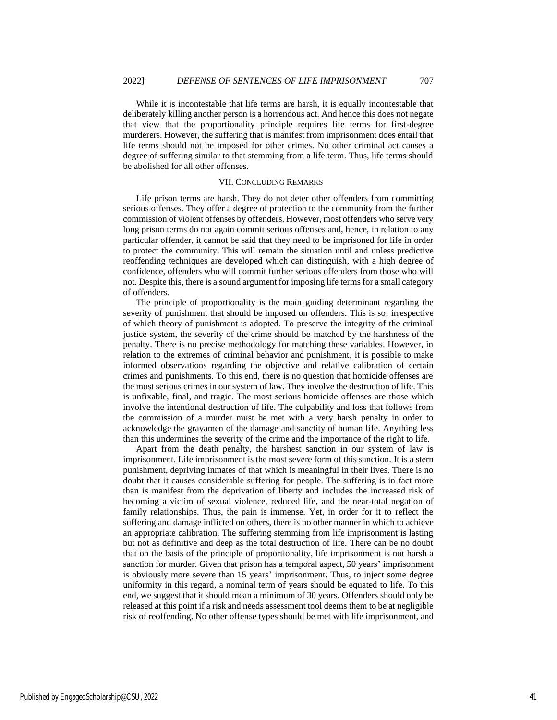While it is incontestable that life terms are harsh, it is equally incontestable that deliberately killing another person is a horrendous act. And hence this does not negate that view that the proportionality principle requires life terms for first-degree murderers. However, the suffering that is manifest from imprisonment does entail that life terms should not be imposed for other crimes. No other criminal act causes a degree of suffering similar to that stemming from a life term. Thus, life terms should be abolished for all other offenses.

#### VII. CONCLUDING REMARKS

Life prison terms are harsh. They do not deter other offenders from committing serious offenses. They offer a degree of protection to the community from the further commission of violent offenses by offenders. However, most offenders who serve very long prison terms do not again commit serious offenses and, hence, in relation to any particular offender, it cannot be said that they need to be imprisoned for life in order to protect the community. This will remain the situation until and unless predictive reoffending techniques are developed which can distinguish, with a high degree of confidence, offenders who will commit further serious offenders from those who will not. Despite this, there is a sound argument for imposing life terms for a small category of offenders.

The principle of proportionality is the main guiding determinant regarding the severity of punishment that should be imposed on offenders. This is so, irrespective of which theory of punishment is adopted. To preserve the integrity of the criminal justice system, the severity of the crime should be matched by the harshness of the penalty. There is no precise methodology for matching these variables. However, in relation to the extremes of criminal behavior and punishment, it is possible to make informed observations regarding the objective and relative calibration of certain crimes and punishments. To this end, there is no question that homicide offenses are the most serious crimes in our system of law. They involve the destruction of life. This is unfixable, final, and tragic. The most serious homicide offenses are those which involve the intentional destruction of life. The culpability and loss that follows from the commission of a murder must be met with a very harsh penalty in order to acknowledge the gravamen of the damage and sanctity of human life. Anything less than this undermines the severity of the crime and the importance of the right to life.

Apart from the death penalty, the harshest sanction in our system of law is imprisonment. Life imprisonment is the most severe form of this sanction. It is a stern punishment, depriving inmates of that which is meaningful in their lives. There is no doubt that it causes considerable suffering for people. The suffering is in fact more than is manifest from the deprivation of liberty and includes the increased risk of becoming a victim of sexual violence, reduced life, and the near-total negation of family relationships. Thus, the pain is immense. Yet, in order for it to reflect the suffering and damage inflicted on others, there is no other manner in which to achieve an appropriate calibration. The suffering stemming from life imprisonment is lasting but not as definitive and deep as the total destruction of life. There can be no doubt that on the basis of the principle of proportionality, life imprisonment is not harsh a sanction for murder. Given that prison has a temporal aspect, 50 years' imprisonment is obviously more severe than 15 years' imprisonment. Thus, to inject some degree uniformity in this regard, a nominal term of years should be equated to life. To this end, we suggest that it should mean a minimum of 30 years. Offenders should only be released at this point if a risk and needs assessment tool deems them to be at negligible risk of reoffending. No other offense types should be met with life imprisonment, and